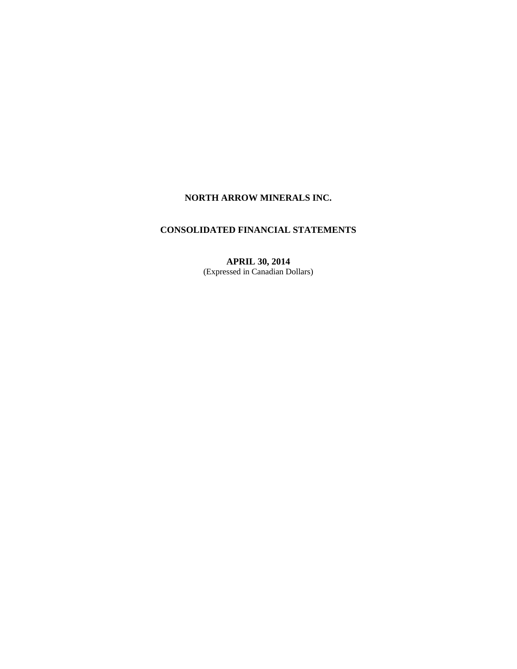# **NORTH ARROW MINERALS INC.**

# **CONSOLIDATED FINANCIAL STATEMENTS**

**APRIL 30, 2014**  (Expressed in Canadian Dollars)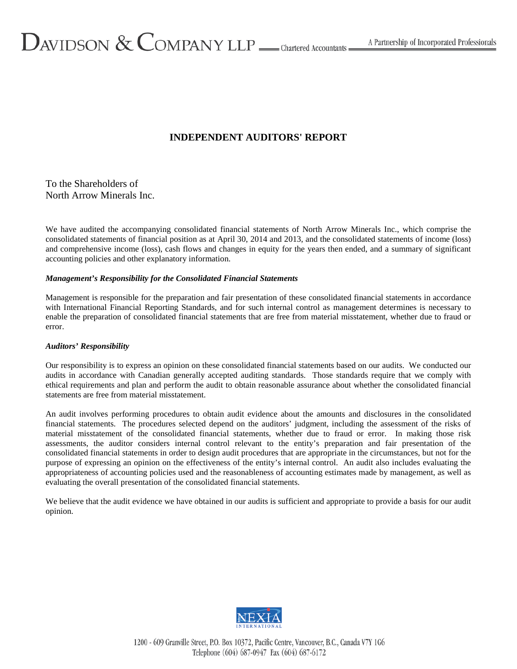# **INDEPENDENT AUDITORS' REPORT**

To the Shareholders of North Arrow Minerals Inc.

We have audited the accompanying consolidated financial statements of North Arrow Minerals Inc., which comprise the consolidated statements of financial position as at April 30, 2014 and 2013, and the consolidated statements of income (loss) and comprehensive income (loss), cash flows and changes in equity for the years then ended, and a summary of significant accounting policies and other explanatory information.

## *Management's Responsibility for the Consolidated Financial Statements*

Management is responsible for the preparation and fair presentation of these consolidated financial statements in accordance with International Financial Reporting Standards, and for such internal control as management determines is necessary to enable the preparation of consolidated financial statements that are free from material misstatement, whether due to fraud or error.

# *Auditors' Responsibility*

Our responsibility is to express an opinion on these consolidated financial statements based on our audits. We conducted our audits in accordance with Canadian generally accepted auditing standards. Those standards require that we comply with ethical requirements and plan and perform the audit to obtain reasonable assurance about whether the consolidated financial statements are free from material misstatement.

An audit involves performing procedures to obtain audit evidence about the amounts and disclosures in the consolidated financial statements. The procedures selected depend on the auditors' judgment, including the assessment of the risks of material misstatement of the consolidated financial statements, whether due to fraud or error. In making those risk assessments, the auditor considers internal control relevant to the entity's preparation and fair presentation of the consolidated financial statements in order to design audit procedures that are appropriate in the circumstances, but not for the purpose of expressing an opinion on the effectiveness of the entity's internal control. An audit also includes evaluating the appropriateness of accounting policies used and the reasonableness of accounting estimates made by management, as well as evaluating the overall presentation of the consolidated financial statements.

We believe that the audit evidence we have obtained in our audits is sufficient and appropriate to provide a basis for our audit opinion.

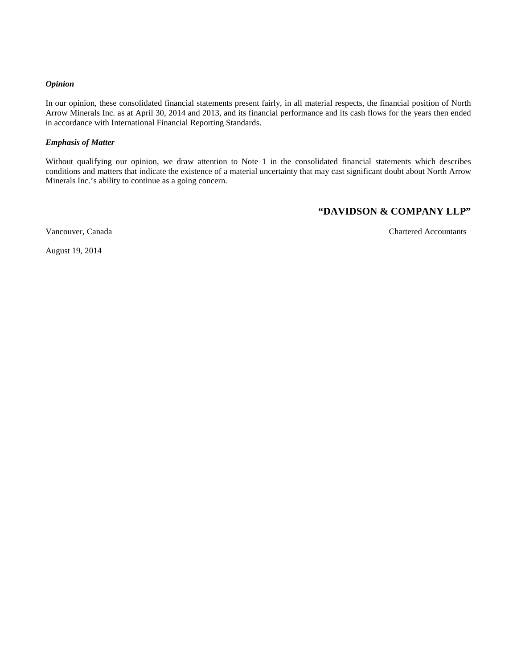## *Opinion*

In our opinion, these consolidated financial statements present fairly, in all material respects, the financial position of North Arrow Minerals Inc. as at April 30, 2014 and 2013, and its financial performance and its cash flows for the years then ended in accordance with International Financial Reporting Standards.

## *Emphasis of Matter*

Without qualifying our opinion, we draw attention to Note 1 in the consolidated financial statements which describes conditions and matters that indicate the existence of a material uncertainty that may cast significant doubt about North Arrow Minerals Inc.'s ability to continue as a going concern.

# **"DAVIDSON & COMPANY LLP"**

Vancouver, Canada Chartered Accountants

August 19, 2014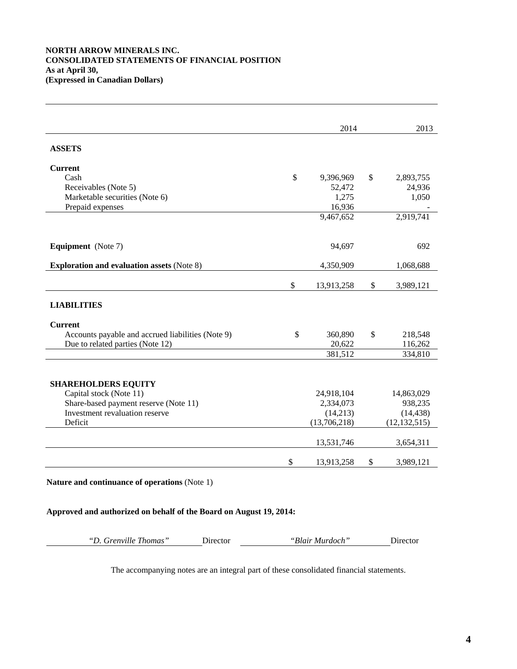# **NORTH ARROW MINERALS INC. CONSOLIDATED STATEMENTS OF FINANCIAL POSITION As at April 30, (Expressed in Canadian Dollars)**

|                                                   | 2014             | 2013            |
|---------------------------------------------------|------------------|-----------------|
| <b>ASSETS</b>                                     |                  |                 |
| <b>Current</b>                                    |                  |                 |
| Cash                                              | \$<br>9,396,969  | \$<br>2,893,755 |
| Receivables (Note 5)                              | 52,472           | 24,936          |
| Marketable securities (Note 6)                    | 1,275            | 1,050           |
| Prepaid expenses                                  | 16,936           |                 |
|                                                   | 9,467,652        | 2,919,741       |
| <b>Equipment</b> (Note 7)                         | 94,697           | 692             |
| <b>Exploration and evaluation assets (Note 8)</b> | 4,350,909        | 1,068,688       |
|                                                   | \$<br>13,913,258 | \$<br>3,989,121 |
| <b>LIABILITIES</b>                                |                  |                 |
| <b>Current</b>                                    |                  |                 |
| Accounts payable and accrued liabilities (Note 9) | \$<br>360,890    | \$<br>218,548   |
| Due to related parties (Note 12)                  | 20,622           | 116,262         |
|                                                   | 381,512          | 334,810         |
| <b>SHAREHOLDERS EQUITY</b>                        |                  |                 |
| Capital stock (Note 11)                           | 24,918,104       | 14,863,029      |
| Share-based payment reserve (Note 11)             | 2,334,073        | 938,235         |
| Investment revaluation reserve                    | (14,213)         | (14, 438)       |
| Deficit                                           | (13,706,218)     | (12, 132, 515)  |
|                                                   |                  |                 |
|                                                   | 13,531,746       | 3,654,311       |
|                                                   | \$<br>13,913,258 | \$<br>3,989,121 |
| Nature and continuance of operations (Note 1)     |                  |                 |

# **Approved and authorized on behalf of the Board on August 19, 2014:**

| "D. Grenville Thomas" | Director | "Blair Murdoch" | Director |
|-----------------------|----------|-----------------|----------|
|-----------------------|----------|-----------------|----------|

The accompanying notes are an integral part of these consolidated financial statements.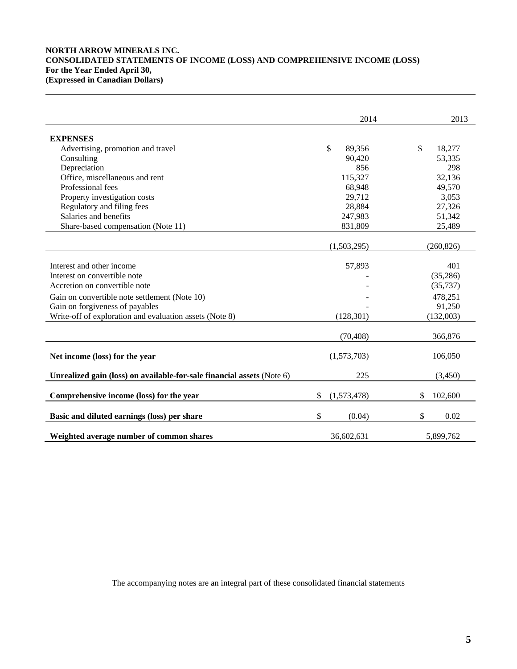# **NORTH ARROW MINERALS INC. CONSOLIDATED STATEMENTS OF INCOME (LOSS) AND COMPREHENSIVE INCOME (LOSS) For the Year Ended April 30, (Expressed in Canadian Dollars)**

|                                                                        | 2014              | 2013          |
|------------------------------------------------------------------------|-------------------|---------------|
|                                                                        |                   |               |
| <b>EXPENSES</b>                                                        |                   |               |
| Advertising, promotion and travel                                      | \$<br>89,356      | \$<br>18,277  |
| Consulting                                                             | 90,420            | 53,335        |
| Depreciation                                                           | 856               | 298           |
| Office, miscellaneous and rent                                         | 115,327           | 32,136        |
| Professional fees                                                      | 68,948            | 49,570        |
| Property investigation costs                                           | 29,712            | 3,053         |
| Regulatory and filing fees                                             | 28,884            | 27,326        |
| Salaries and benefits                                                  | 247,983           | 51,342        |
| Share-based compensation (Note 11)                                     | 831,809           | 25,489        |
|                                                                        |                   |               |
|                                                                        | (1,503,295)       | (260, 826)    |
|                                                                        |                   |               |
| Interest and other income                                              | 57,893            | 401           |
| Interest on convertible note                                           |                   | (35,286)      |
| Accretion on convertible note                                          |                   | (35,737)      |
| Gain on convertible note settlement (Note 10)                          |                   | 478,251       |
| Gain on forgiveness of payables                                        |                   | 91,250        |
| Write-off of exploration and evaluation assets (Note 8)                | (128, 301)        | (132,003)     |
|                                                                        |                   |               |
|                                                                        | (70, 408)         | 366,876       |
|                                                                        |                   |               |
| Net income (loss) for the year                                         | (1,573,703)       | 106,050       |
|                                                                        |                   |               |
| Unrealized gain (loss) on available-for-sale financial assets (Note 6) | 225               | (3,450)       |
|                                                                        |                   |               |
| Comprehensive income (loss) for the year                               | \$<br>(1,573,478) | 102,600<br>\$ |
| Basic and diluted earnings (loss) per share                            | \$<br>(0.04)      | \$<br>0.02    |
|                                                                        |                   |               |
| Weighted average number of common shares                               | 36,602,631        | 5,899,762     |

The accompanying notes are an integral part of these consolidated financial statements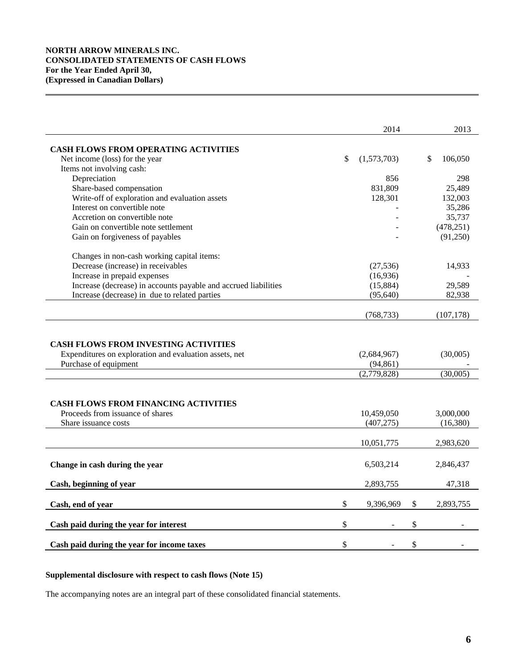|                                                                 | 2014              | 2013            |
|-----------------------------------------------------------------|-------------------|-----------------|
|                                                                 |                   |                 |
| <b>CASH FLOWS FROM OPERATING ACTIVITIES</b>                     |                   |                 |
| Net income (loss) for the year                                  | \$<br>(1,573,703) | \$<br>106,050   |
| Items not involving cash:                                       |                   |                 |
| Depreciation                                                    | 856               | 298             |
| Share-based compensation                                        | 831,809           | 25,489          |
| Write-off of exploration and evaluation assets                  | 128,301           | 132,003         |
| Interest on convertible note                                    |                   | 35,286          |
| Accretion on convertible note                                   |                   | 35,737          |
| Gain on convertible note settlement                             |                   | (478, 251)      |
| Gain on forgiveness of payables                                 |                   | (91,250)        |
| Changes in non-cash working capital items:                      |                   |                 |
| Decrease (increase) in receivables                              | (27, 536)         | 14,933          |
| Increase in prepaid expenses                                    | (16,936)          |                 |
| Increase (decrease) in accounts payable and accrued liabilities | (15,884)          | 29,589          |
| Increase (decrease) in due to related parties                   | (95, 640)         | 82,938          |
|                                                                 | (768, 733)        | (107, 178)      |
|                                                                 |                   |                 |
|                                                                 |                   |                 |
| <b>CASH FLOWS FROM INVESTING ACTIVITIES</b>                     |                   |                 |
| Expenditures on exploration and evaluation assets, net          | (2,684,967)       | (30,005)        |
| Purchase of equipment                                           | (94, 861)         |                 |
|                                                                 | (2,779,828)       |                 |
|                                                                 |                   | (30,005)        |
|                                                                 |                   |                 |
| <b>CASH FLOWS FROM FINANCING ACTIVITIES</b>                     |                   |                 |
| Proceeds from issuance of shares                                | 10,459,050        | 3,000,000       |
| Share issuance costs                                            | (407, 275)        | (16,380)        |
|                                                                 |                   |                 |
|                                                                 | 10,051,775        | 2,983,620       |
| Change in cash during the year                                  | 6,503,214         | 2,846,437       |
|                                                                 |                   |                 |
| Cash, beginning of year                                         | 2,893,755         | 47,318          |
| Cash, end of year                                               | \$<br>9,396,969   | \$<br>2,893,755 |
|                                                                 |                   |                 |
| Cash paid during the year for interest                          | \$                | \$              |
| Cash paid during the year for income taxes                      | \$                | \$              |
|                                                                 |                   |                 |

# **Supplemental disclosure with respect to cash flows (Note 15)**

The accompanying notes are an integral part of these consolidated financial statements.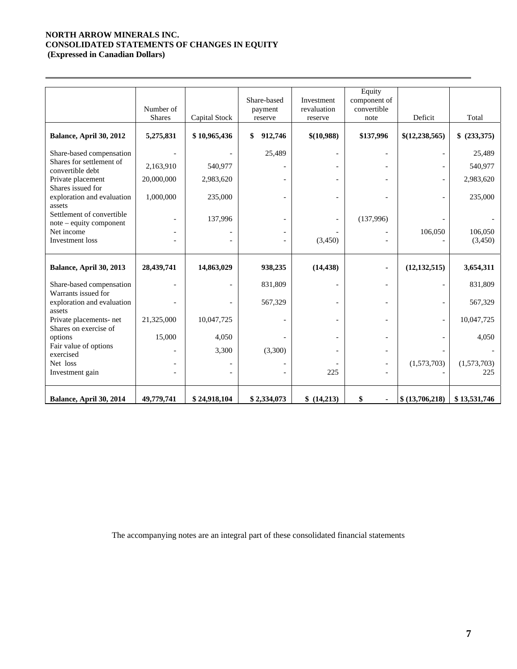# **NORTH ARROW MINERALS INC. CONSOLIDATED STATEMENTS OF CHANGES IN EQUITY (Expressed in Canadian Dollars)**

 $\overline{a}$ 

|                                                      |               |               | Share-based   | Investment               | Equity<br>component of   |                          |              |
|------------------------------------------------------|---------------|---------------|---------------|--------------------------|--------------------------|--------------------------|--------------|
|                                                      | Number of     |               | payment       | revaluation              | convertible              |                          |              |
|                                                      | <b>Shares</b> | Capital Stock | reserve       | reserve                  | note                     | Deficit                  | Total        |
|                                                      |               |               |               |                          |                          |                          |              |
| Balance, April 30, 2012                              | 5,275,831     | \$10,965,436  | \$<br>912,746 | \$(10,988)               | \$137,996                | \$(12, 238, 565)         | \$ (233,375) |
| Share-based compensation                             |               |               | 25,489        |                          |                          | $\overline{\phantom{a}}$ | 25,489       |
| Shares for settlement of<br>convertible debt         | 2,163,910     | 540,977       |               | $\overline{\phantom{0}}$ |                          |                          | 540,977      |
| Private placement<br>Shares issued for               | 20,000,000    | 2,983,620     |               |                          |                          | $\overline{\phantom{a}}$ | 2,983,620    |
| exploration and evaluation<br>assets                 | 1,000,000     | 235,000       |               |                          |                          |                          | 235,000      |
| Settlement of convertible<br>note – equity component |               | 137,996       |               |                          | (137,996)                |                          |              |
| Net income                                           |               |               |               |                          |                          | 106,050                  | 106,050      |
| Investment loss                                      |               |               |               | (3,450)                  |                          |                          | (3,450)      |
|                                                      |               |               |               |                          |                          |                          |              |
| Balance, April 30, 2013                              | 28,439,741    | 14,863,029    | 938,235       | (14, 438)                | ٠                        | (12, 132, 515)           | 3,654,311    |
| Share-based compensation<br>Warrants issued for      |               |               | 831,809       |                          | $\overline{\phantom{a}}$ |                          | 831,809      |
| exploration and evaluation<br>assets                 |               |               | 567,329       |                          | $\overline{a}$           |                          | 567,329      |
| Private placements- net<br>Shares on exercise of     | 21,325,000    | 10,047,725    |               | $\overline{\phantom{a}}$ | $\overline{\phantom{a}}$ | $\overline{a}$           | 10,047,725   |
| options                                              | 15,000        | 4,050         |               | $\overline{\phantom{a}}$ | $\overline{\phantom{a}}$ |                          | 4,050        |
| Fair value of options                                |               | 3,300         | (3,300)       |                          |                          |                          |              |
| exercised<br>Net loss                                |               |               |               |                          | $\overline{\phantom{a}}$ | (1,573,703)              | (1,573,703)  |
| Investment gain                                      |               |               |               | 225                      |                          |                          | 225          |
|                                                      |               |               |               |                          |                          |                          |              |
| Balance, April 30, 2014                              | 49,779,741    | \$24,918,104  | \$2,334,073   | \$(14,213)               | \$<br>$\blacksquare$     | \$(13,706,218)           | \$13,531,746 |

The accompanying notes are an integral part of these consolidated financial statements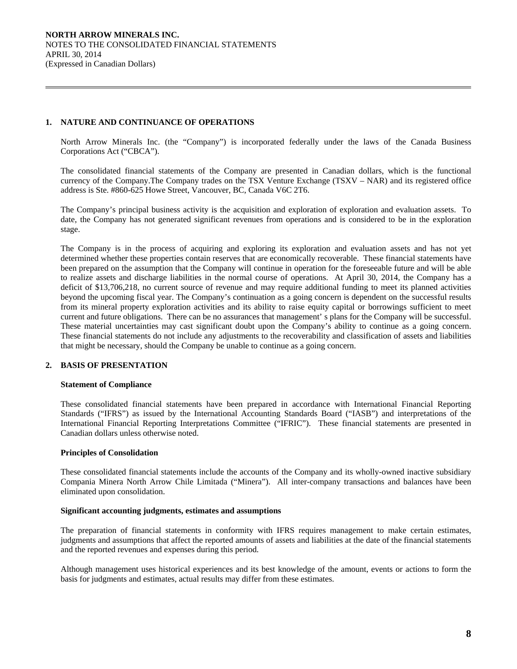# **1. NATURE AND CONTINUANCE OF OPERATIONS**

 $\overline{a}$ 

North Arrow Minerals Inc. (the "Company") is incorporated federally under the laws of the Canada Business Corporations Act ("CBCA").

The consolidated financial statements of the Company are presented in Canadian dollars, which is the functional currency of the Company.The Company trades on the TSX Venture Exchange (TSXV – NAR) and its registered office address is Ste. #860-625 Howe Street, Vancouver, BC, Canada V6C 2T6.

The Company's principal business activity is the acquisition and exploration of exploration and evaluation assets. To date, the Company has not generated significant revenues from operations and is considered to be in the exploration stage.

The Company is in the process of acquiring and exploring its exploration and evaluation assets and has not yet determined whether these properties contain reserves that are economically recoverable. These financial statements have been prepared on the assumption that the Company will continue in operation for the foreseeable future and will be able to realize assets and discharge liabilities in the normal course of operations. At April 30, 2014, the Company has a deficit of \$13,706,218, no current source of revenue and may require additional funding to meet its planned activities beyond the upcoming fiscal year. The Company's continuation as a going concern is dependent on the successful results from its mineral property exploration activities and its ability to raise equity capital or borrowings sufficient to meet current and future obligations. There can be no assurances that management' s plans for the Company will be successful. These material uncertainties may cast significant doubt upon the Company's ability to continue as a going concern. These financial statements do not include any adjustments to the recoverability and classification of assets and liabilities that might be necessary, should the Company be unable to continue as a going concern.

# **2. BASIS OF PRESENTATION**

# **Statement of Compliance**

These consolidated financial statements have been prepared in accordance with International Financial Reporting Standards ("IFRS") as issued by the International Accounting Standards Board ("IASB") and interpretations of the International Financial Reporting Interpretations Committee ("IFRIC"). These financial statements are presented in Canadian dollars unless otherwise noted.

# **Principles of Consolidation**

These consolidated financial statements include the accounts of the Company and its wholly-owned inactive subsidiary Compania Minera North Arrow Chile Limitada ("Minera"). All inter-company transactions and balances have been eliminated upon consolidation.

## **Significant accounting judgments, estimates and assumptions**

The preparation of financial statements in conformity with IFRS requires management to make certain estimates, judgments and assumptions that affect the reported amounts of assets and liabilities at the date of the financial statements and the reported revenues and expenses during this period.

Although management uses historical experiences and its best knowledge of the amount, events or actions to form the basis for judgments and estimates, actual results may differ from these estimates.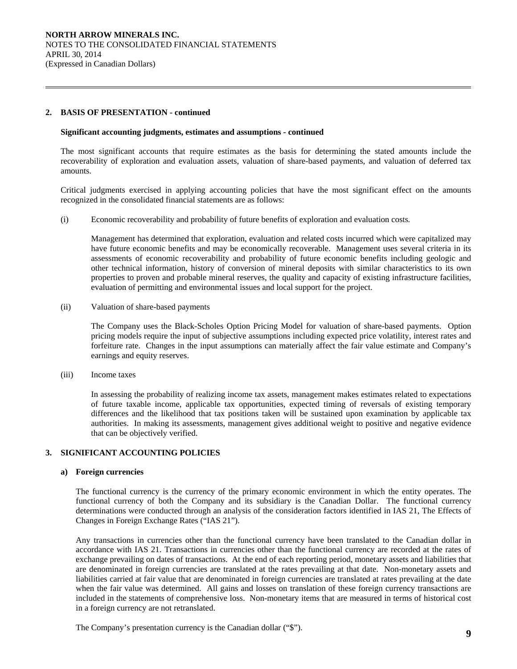## **2. BASIS OF PRESENTATION - continued**

 $\overline{a}$ 

#### **Significant accounting judgments, estimates and assumptions** *-* **continued**

The most significant accounts that require estimates as the basis for determining the stated amounts include the recoverability of exploration and evaluation assets, valuation of share-based payments, and valuation of deferred tax amounts.

Critical judgments exercised in applying accounting policies that have the most significant effect on the amounts recognized in the consolidated financial statements are as follows:

(i) Economic recoverability and probability of future benefits of exploration and evaluation costs*.* 

 Management has determined that exploration, evaluation and related costs incurred which were capitalized may have future economic benefits and may be economically recoverable. Management uses several criteria in its assessments of economic recoverability and probability of future economic benefits including geologic and other technical information, history of conversion of mineral deposits with similar characteristics to its own properties to proven and probable mineral reserves, the quality and capacity of existing infrastructure facilities, evaluation of permitting and environmental issues and local support for the project.

(ii) Valuation of share-based payments

The Company uses the Black-Scholes Option Pricing Model for valuation of share-based payments. Option pricing models require the input of subjective assumptions including expected price volatility, interest rates and forfeiture rate. Changes in the input assumptions can materially affect the fair value estimate and Company's earnings and equity reserves.

(iii) Income taxes

In assessing the probability of realizing income tax assets, management makes estimates related to expectations of future taxable income, applicable tax opportunities, expected timing of reversals of existing temporary differences and the likelihood that tax positions taken will be sustained upon examination by applicable tax authorities. In making its assessments, management gives additional weight to positive and negative evidence that can be objectively verified.

### **3. SIGNIFICANT ACCOUNTING POLICIES**

### **a) Foreign currencies**

 The functional currency is the currency of the primary economic environment in which the entity operates. The functional currency of both the Company and its subsidiary is the Canadian Dollar. The functional currency determinations were conducted through an analysis of the consideration factors identified in IAS 21, The Effects of Changes in Foreign Exchange Rates ("IAS 21").

 Any transactions in currencies other than the functional currency have been translated to the Canadian dollar in accordance with IAS 21. Transactions in currencies other than the functional currency are recorded at the rates of exchange prevailing on dates of transactions. At the end of each reporting period, monetary assets and liabilities that are denominated in foreign currencies are translated at the rates prevailing at that date. Non-monetary assets and liabilities carried at fair value that are denominated in foreign currencies are translated at rates prevailing at the date when the fair value was determined. All gains and losses on translation of these foreign currency transactions are included in the statements of comprehensive loss. Non-monetary items that are measured in terms of historical cost in a foreign currency are not retranslated.

The Company's presentation currency is the Canadian dollar ("\$").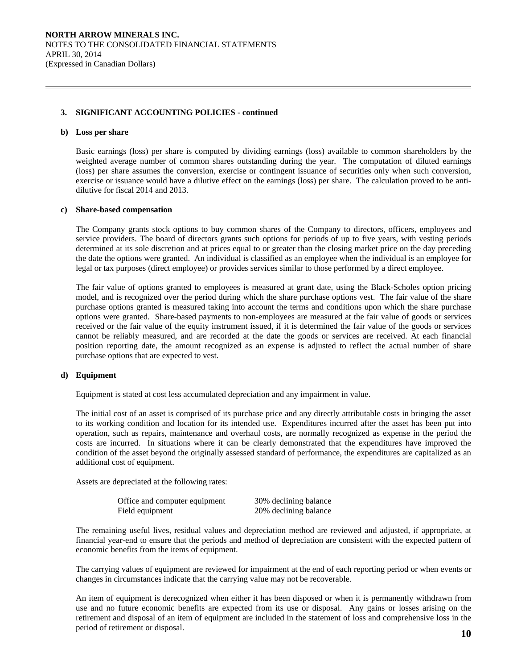#### **b) Loss per share**

 $\overline{a}$ 

 Basic earnings (loss) per share is computed by dividing earnings (loss) available to common shareholders by the weighted average number of common shares outstanding during the year. The computation of diluted earnings (loss) per share assumes the conversion, exercise or contingent issuance of securities only when such conversion, exercise or issuance would have a dilutive effect on the earnings (loss) per share. The calculation proved to be antidilutive for fiscal 2014 and 2013.

#### **c) Share-based compensation**

 The Company grants stock options to buy common shares of the Company to directors, officers, employees and service providers. The board of directors grants such options for periods of up to five years, with vesting periods determined at its sole discretion and at prices equal to or greater than the closing market price on the day preceding the date the options were granted. An individual is classified as an employee when the individual is an employee for legal or tax purposes (direct employee) or provides services similar to those performed by a direct employee.

 The fair value of options granted to employees is measured at grant date, using the Black-Scholes option pricing model, and is recognized over the period during which the share purchase options vest. The fair value of the share purchase options granted is measured taking into account the terms and conditions upon which the share purchase options were granted. Share-based payments to non-employees are measured at the fair value of goods or services received or the fair value of the equity instrument issued, if it is determined the fair value of the goods or services cannot be reliably measured, and are recorded at the date the goods or services are received. At each financial position reporting date, the amount recognized as an expense is adjusted to reflect the actual number of share purchase options that are expected to vest.

### **d) Equipment**

Equipment is stated at cost less accumulated depreciation and any impairment in value.

 The initial cost of an asset is comprised of its purchase price and any directly attributable costs in bringing the asset to its working condition and location for its intended use. Expenditures incurred after the asset has been put into operation, such as repairs, maintenance and overhaul costs, are normally recognized as expense in the period the costs are incurred. In situations where it can be clearly demonstrated that the expenditures have improved the condition of the asset beyond the originally assessed standard of performance, the expenditures are capitalized as an additional cost of equipment.

Assets are depreciated at the following rates:

| Office and computer equipment | 30% declining balance |
|-------------------------------|-----------------------|
| Field equipment               | 20% declining balance |

 The remaining useful lives, residual values and depreciation method are reviewed and adjusted, if appropriate, at financial year-end to ensure that the periods and method of depreciation are consistent with the expected pattern of economic benefits from the items of equipment.

 The carrying values of equipment are reviewed for impairment at the end of each reporting period or when events or changes in circumstances indicate that the carrying value may not be recoverable.

 An item of equipment is derecognized when either it has been disposed or when it is permanently withdrawn from use and no future economic benefits are expected from its use or disposal. Any gains or losses arising on the retirement and disposal of an item of equipment are included in the statement of loss and comprehensive loss in the period of retirement or disposal.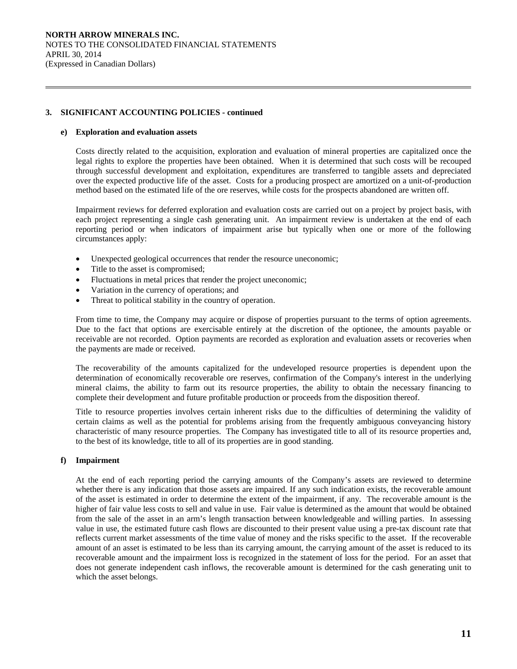## **e) Exploration and evaluation assets**

 $\overline{a}$ 

 Costs directly related to the acquisition, exploration and evaluation of mineral properties are capitalized once the legal rights to explore the properties have been obtained. When it is determined that such costs will be recouped through successful development and exploitation, expenditures are transferred to tangible assets and depreciated over the expected productive life of the asset. Costs for a producing prospect are amortized on a unit-of-production method based on the estimated life of the ore reserves, while costs for the prospects abandoned are written off.

 Impairment reviews for deferred exploration and evaluation costs are carried out on a project by project basis, with each project representing a single cash generating unit. An impairment review is undertaken at the end of each reporting period or when indicators of impairment arise but typically when one or more of the following circumstances apply:

- Unexpected geological occurrences that render the resource uneconomic;
- Title to the asset is compromised;
- Fluctuations in metal prices that render the project uneconomic;
- Variation in the currency of operations; and
- Threat to political stability in the country of operation.

 From time to time, the Company may acquire or dispose of properties pursuant to the terms of option agreements. Due to the fact that options are exercisable entirely at the discretion of the optionee, the amounts payable or receivable are not recorded. Option payments are recorded as exploration and evaluation assets or recoveries when the payments are made or received.

 The recoverability of the amounts capitalized for the undeveloped resource properties is dependent upon the determination of economically recoverable ore reserves, confirmation of the Company's interest in the underlying mineral claims, the ability to farm out its resource properties, the ability to obtain the necessary financing to complete their development and future profitable production or proceeds from the disposition thereof.

 Title to resource properties involves certain inherent risks due to the difficulties of determining the validity of certain claims as well as the potential for problems arising from the frequently ambiguous conveyancing history characteristic of many resource properties. The Company has investigated title to all of its resource properties and, to the best of its knowledge, title to all of its properties are in good standing.

# **f) Impairment**

 At the end of each reporting period the carrying amounts of the Company's assets are reviewed to determine whether there is any indication that those assets are impaired. If any such indication exists, the recoverable amount of the asset is estimated in order to determine the extent of the impairment, if any. The recoverable amount is the higher of fair value less costs to sell and value in use. Fair value is determined as the amount that would be obtained from the sale of the asset in an arm's length transaction between knowledgeable and willing parties. In assessing value in use, the estimated future cash flows are discounted to their present value using a pre-tax discount rate that reflects current market assessments of the time value of money and the risks specific to the asset. If the recoverable amount of an asset is estimated to be less than its carrying amount, the carrying amount of the asset is reduced to its recoverable amount and the impairment loss is recognized in the statement of loss for the period. For an asset that does not generate independent cash inflows, the recoverable amount is determined for the cash generating unit to which the asset belongs.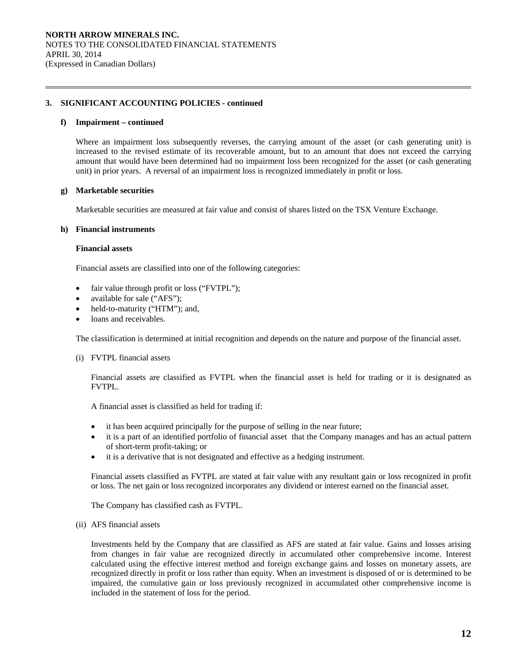### **f) Impairment – continued**

 $\overline{a}$ 

 Where an impairment loss subsequently reverses, the carrying amount of the asset (or cash generating unit) is increased to the revised estimate of its recoverable amount, but to an amount that does not exceed the carrying amount that would have been determined had no impairment loss been recognized for the asset (or cash generating unit) in prior years. A reversal of an impairment loss is recognized immediately in profit or loss.

## **g) Marketable securities**

Marketable securities are measured at fair value and consist of shares listed on the TSX Venture Exchange.

#### **h) Financial instruments**

#### **Financial assets**

Financial assets are classified into one of the following categories:

- fair value through profit or loss ("FVTPL");
- available for sale ("AFS");
- held-to-maturity ("HTM"); and,
- loans and receivables.

The classification is determined at initial recognition and depends on the nature and purpose of the financial asset.

(i) FVTPL financial assets

Financial assets are classified as FVTPL when the financial asset is held for trading or it is designated as FVTPL.

A financial asset is classified as held for trading if:

- it has been acquired principally for the purpose of selling in the near future;
- it is a part of an identified portfolio of financial asset that the Company manages and has an actual pattern of short-term profit-taking; or
- it is a derivative that is not designated and effective as a hedging instrument.

 Financial assets classified as FVTPL are stated at fair value with any resultant gain or loss recognized in profit or loss. The net gain or loss recognized incorporates any dividend or interest earned on the financial asset.

The Company has classified cash as FVTPL.

(ii) AFS financial assets

 Investments held by the Company that are classified as AFS are stated at fair value. Gains and losses arising from changes in fair value are recognized directly in accumulated other comprehensive income. Interest calculated using the effective interest method and foreign exchange gains and losses on monetary assets, are recognized directly in profit or loss rather than equity. When an investment is disposed of or is determined to be impaired, the cumulative gain or loss previously recognized in accumulated other comprehensive income is included in the statement of loss for the period.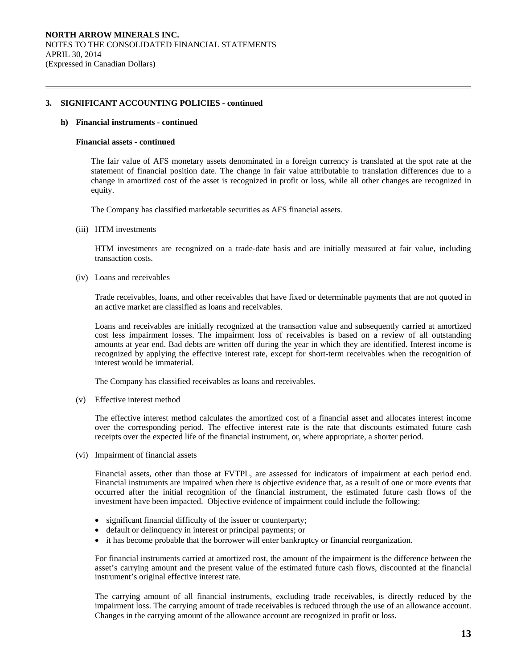#### **h) Financial instruments - continued**

 $\overline{a}$ 

#### **Financial assets - continued**

 The fair value of AFS monetary assets denominated in a foreign currency is translated at the spot rate at the statement of financial position date. The change in fair value attributable to translation differences due to a change in amortized cost of the asset is recognized in profit or loss, while all other changes are recognized in equity.

The Company has classified marketable securities as AFS financial assets.

(iii) HTM investments

 HTM investments are recognized on a trade-date basis and are initially measured at fair value, including transaction costs.

(iv) Loans and receivables

 Trade receivables, loans, and other receivables that have fixed or determinable payments that are not quoted in an active market are classified as loans and receivables.

 Loans and receivables are initially recognized at the transaction value and subsequently carried at amortized cost less impairment losses. The impairment loss of receivables is based on a review of all outstanding amounts at year end. Bad debts are written off during the year in which they are identified. Interest income is recognized by applying the effective interest rate, except for short-term receivables when the recognition of interest would be immaterial.

The Company has classified receivables as loans and receivables.

(v) Effective interest method

 The effective interest method calculates the amortized cost of a financial asset and allocates interest income over the corresponding period. The effective interest rate is the rate that discounts estimated future cash receipts over the expected life of the financial instrument, or, where appropriate, a shorter period.

(vi) Impairment of financial assets

 Financial assets, other than those at FVTPL, are assessed for indicators of impairment at each period end. Financial instruments are impaired when there is objective evidence that, as a result of one or more events that occurred after the initial recognition of the financial instrument, the estimated future cash flows of the investment have been impacted. Objective evidence of impairment could include the following:

- significant financial difficulty of the issuer or counterparty;
- default or delinquency in interest or principal payments; or
- it has become probable that the borrower will enter bankruptcy or financial reorganization.

For financial instruments carried at amortized cost, the amount of the impairment is the difference between the asset's carrying amount and the present value of the estimated future cash flows, discounted at the financial instrument's original effective interest rate.

The carrying amount of all financial instruments, excluding trade receivables, is directly reduced by the impairment loss. The carrying amount of trade receivables is reduced through the use of an allowance account. Changes in the carrying amount of the allowance account are recognized in profit or loss.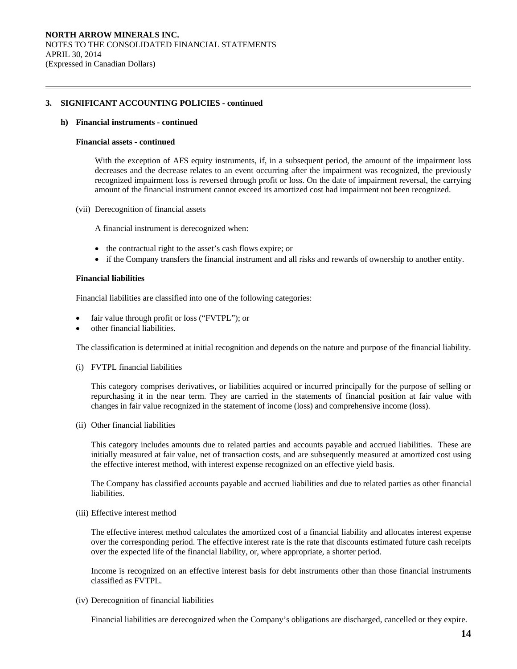#### **h) Financial instruments - continued**

 $\overline{a}$ 

#### **Financial assets - continued**

With the exception of AFS equity instruments, if, in a subsequent period, the amount of the impairment loss decreases and the decrease relates to an event occurring after the impairment was recognized, the previously recognized impairment loss is reversed through profit or loss. On the date of impairment reversal, the carrying amount of the financial instrument cannot exceed its amortized cost had impairment not been recognized.

(vii) Derecognition of financial assets

A financial instrument is derecognized when:

- the contractual right to the asset's cash flows expire; or
- if the Company transfers the financial instrument and all risks and rewards of ownership to another entity.

#### **Financial liabilities**

Financial liabilities are classified into one of the following categories:

- fair value through profit or loss ("FVTPL"); or
- other financial liabilities.

The classification is determined at initial recognition and depends on the nature and purpose of the financial liability.

(i) FVTPL financial liabilities

 This category comprises derivatives, or liabilities acquired or incurred principally for the purpose of selling or repurchasing it in the near term. They are carried in the statements of financial position at fair value with changes in fair value recognized in the statement of income (loss) and comprehensive income (loss).

(ii) Other financial liabilities

 This category includes amounts due to related parties and accounts payable and accrued liabilities. These are initially measured at fair value, net of transaction costs, and are subsequently measured at amortized cost using the effective interest method, with interest expense recognized on an effective yield basis.

 The Company has classified accounts payable and accrued liabilities and due to related parties as other financial liabilities.

(iii) Effective interest method

 The effective interest method calculates the amortized cost of a financial liability and allocates interest expense over the corresponding period. The effective interest rate is the rate that discounts estimated future cash receipts over the expected life of the financial liability, or, where appropriate, a shorter period.

 Income is recognized on an effective interest basis for debt instruments other than those financial instruments classified as FVTPL.

(iv) Derecognition of financial liabilities

Financial liabilities are derecognized when the Company's obligations are discharged, cancelled or they expire.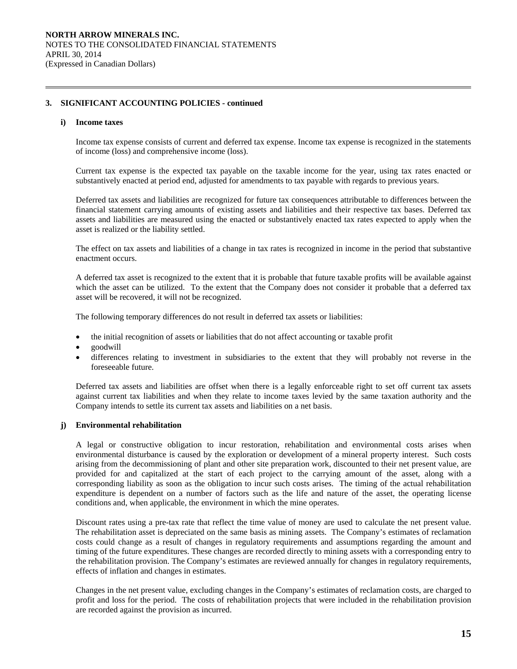#### **i) Income taxes**

 $\overline{a}$ 

 Income tax expense consists of current and deferred tax expense. Income tax expense is recognized in the statements of income (loss) and comprehensive income (loss).

 Current tax expense is the expected tax payable on the taxable income for the year, using tax rates enacted or substantively enacted at period end, adjusted for amendments to tax payable with regards to previous years.

 Deferred tax assets and liabilities are recognized for future tax consequences attributable to differences between the financial statement carrying amounts of existing assets and liabilities and their respective tax bases. Deferred tax assets and liabilities are measured using the enacted or substantively enacted tax rates expected to apply when the asset is realized or the liability settled.

 The effect on tax assets and liabilities of a change in tax rates is recognized in income in the period that substantive enactment occurs.

 A deferred tax asset is recognized to the extent that it is probable that future taxable profits will be available against which the asset can be utilized. To the extent that the Company does not consider it probable that a deferred tax asset will be recovered, it will not be recognized.

The following temporary differences do not result in deferred tax assets or liabilities:

- the initial recognition of assets or liabilities that do not affect accounting or taxable profit
- goodwill
- differences relating to investment in subsidiaries to the extent that they will probably not reverse in the foreseeable future.

 Deferred tax assets and liabilities are offset when there is a legally enforceable right to set off current tax assets against current tax liabilities and when they relate to income taxes levied by the same taxation authority and the Company intends to settle its current tax assets and liabilities on a net basis.

### **j) Environmental rehabilitation**

 A legal or constructive obligation to incur restoration, rehabilitation and environmental costs arises when environmental disturbance is caused by the exploration or development of a mineral property interest. Such costs arising from the decommissioning of plant and other site preparation work, discounted to their net present value, are provided for and capitalized at the start of each project to the carrying amount of the asset, along with a corresponding liability as soon as the obligation to incur such costs arises. The timing of the actual rehabilitation expenditure is dependent on a number of factors such as the life and nature of the asset, the operating license conditions and, when applicable, the environment in which the mine operates.

 Discount rates using a pre-tax rate that reflect the time value of money are used to calculate the net present value. The rehabilitation asset is depreciated on the same basis as mining assets. The Company's estimates of reclamation costs could change as a result of changes in regulatory requirements and assumptions regarding the amount and timing of the future expenditures. These changes are recorded directly to mining assets with a corresponding entry to the rehabilitation provision. The Company's estimates are reviewed annually for changes in regulatory requirements, effects of inflation and changes in estimates.

 Changes in the net present value, excluding changes in the Company's estimates of reclamation costs, are charged to profit and loss for the period. The costs of rehabilitation projects that were included in the rehabilitation provision are recorded against the provision as incurred.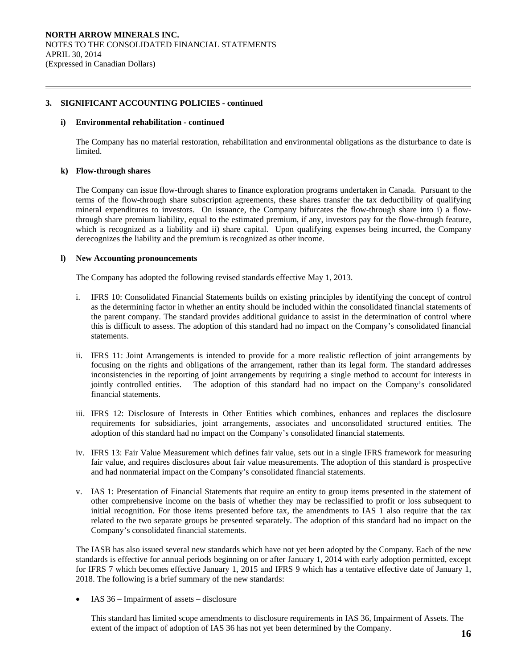#### **i) Environmental rehabilitation - continued**

 The Company has no material restoration, rehabilitation and environmental obligations as the disturbance to date is limited.

### **k) Flow-through shares**

 $\overline{a}$ 

The Company can issue flow-through shares to finance exploration programs undertaken in Canada. Pursuant to the terms of the flow-through share subscription agreements, these shares transfer the tax deductibility of qualifying mineral expenditures to investors. On issuance, the Company bifurcates the flow-through share into i) a flowthrough share premium liability, equal to the estimated premium, if any, investors pay for the flow-through feature, which is recognized as a liability and ii) share capital. Upon qualifying expenses being incurred, the Company derecognizes the liability and the premium is recognized as other income.

### **l) New Accounting pronouncements**

The Company has adopted the following revised standards effective May 1, 2013.

- i. IFRS 10: Consolidated Financial Statements builds on existing principles by identifying the concept of control as the determining factor in whether an entity should be included within the consolidated financial statements of the parent company. The standard provides additional guidance to assist in the determination of control where this is difficult to assess. The adoption of this standard had no impact on the Company's consolidated financial statements.
- ii. IFRS 11: Joint Arrangements is intended to provide for a more realistic reflection of joint arrangements by focusing on the rights and obligations of the arrangement, rather than its legal form. The standard addresses inconsistencies in the reporting of joint arrangements by requiring a single method to account for interests in jointly controlled entities. The adoption of this standard had no impact on the Company's consolidated financial statements.
- iii. IFRS 12: Disclosure of Interests in Other Entities which combines, enhances and replaces the disclosure requirements for subsidiaries, joint arrangements, associates and unconsolidated structured entities. The adoption of this standard had no impact on the Company's consolidated financial statements.
- iv. IFRS 13: Fair Value Measurement which defines fair value, sets out in a single IFRS framework for measuring fair value, and requires disclosures about fair value measurements. The adoption of this standard is prospective and had nonmaterial impact on the Company's consolidated financial statements.
- v. IAS 1: Presentation of Financial Statements that require an entity to group items presented in the statement of other comprehensive income on the basis of whether they may be reclassified to profit or loss subsequent to initial recognition. For those items presented before tax, the amendments to IAS 1 also require that the tax related to the two separate groups be presented separately. The adoption of this standard had no impact on the Company's consolidated financial statements.

The IASB has also issued several new standards which have not yet been adopted by the Company. Each of the new standards is effective for annual periods beginning on or after January 1, 2014 with early adoption permitted, except for IFRS 7 which becomes effective January 1, 2015 and IFRS 9 which has a tentative effective date of January 1, 2018. The following is a brief summary of the new standards:

IAS 36 – Impairment of assets – disclosure

This standard has limited scope amendments to disclosure requirements in IAS 36, Impairment of Assets. The extent of the impact of adoption of IAS 36 has not yet been determined by the Company.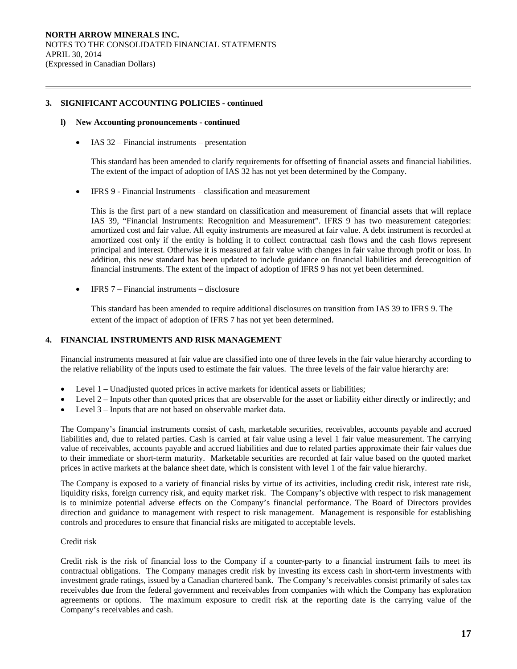#### **l) New Accounting pronouncements - continued**

 $\overline{a}$ 

 $\bullet$  IAS 32 – Financial instruments – presentation

This standard has been amended to clarify requirements for offsetting of financial assets and financial liabilities. The extent of the impact of adoption of IAS 32 has not yet been determined by the Company.

IFRS 9 - Financial Instruments – classification and measurement

This is the first part of a new standard on classification and measurement of financial assets that will replace IAS 39, "Financial Instruments: Recognition and Measurement". IFRS 9 has two measurement categories: amortized cost and fair value. All equity instruments are measured at fair value. A debt instrument is recorded at amortized cost only if the entity is holding it to collect contractual cash flows and the cash flows represent principal and interest. Otherwise it is measured at fair value with changes in fair value through profit or loss. In addition, this new standard has been updated to include guidance on financial liabilities and derecognition of financial instruments. The extent of the impact of adoption of IFRS 9 has not yet been determined.

IFRS 7 – Financial instruments – disclosure

This standard has been amended to require additional disclosures on transition from IAS 39 to IFRS 9. The extent of the impact of adoption of IFRS 7 has not yet been determined.

## **4. FINANCIAL INSTRUMENTS AND RISK MANAGEMENT**

Financial instruments measured at fair value are classified into one of three levels in the fair value hierarchy according to the relative reliability of the inputs used to estimate the fair values. The three levels of the fair value hierarchy are:

- Level 1 Unadjusted quoted prices in active markets for identical assets or liabilities;
- Level 2 Inputs other than quoted prices that are observable for the asset or liability either directly or indirectly; and
- Level 3 Inputs that are not based on observable market data.

The Company's financial instruments consist of cash, marketable securities, receivables, accounts payable and accrued liabilities and, due to related parties. Cash is carried at fair value using a level 1 fair value measurement. The carrying value of receivables, accounts payable and accrued liabilities and due to related parties approximate their fair values due to their immediate or short-term maturity. Marketable securities are recorded at fair value based on the quoted market prices in active markets at the balance sheet date, which is consistent with level 1 of the fair value hierarchy.

The Company is exposed to a variety of financial risks by virtue of its activities, including credit risk, interest rate risk, liquidity risks, foreign currency risk, and equity market risk. The Company's objective with respect to risk management is to minimize potential adverse effects on the Company's financial performance. The Board of Directors provides direction and guidance to management with respect to risk management. Management is responsible for establishing controls and procedures to ensure that financial risks are mitigated to acceptable levels.

### Credit risk

Credit risk is the risk of financial loss to the Company if a counter-party to a financial instrument fails to meet its contractual obligations. The Company manages credit risk by investing its excess cash in short-term investments with investment grade ratings, issued by a Canadian chartered bank. The Company's receivables consist primarily of sales tax receivables due from the federal government and receivables from companies with which the Company has exploration agreements or options. The maximum exposure to credit risk at the reporting date is the carrying value of the Company's receivables and cash.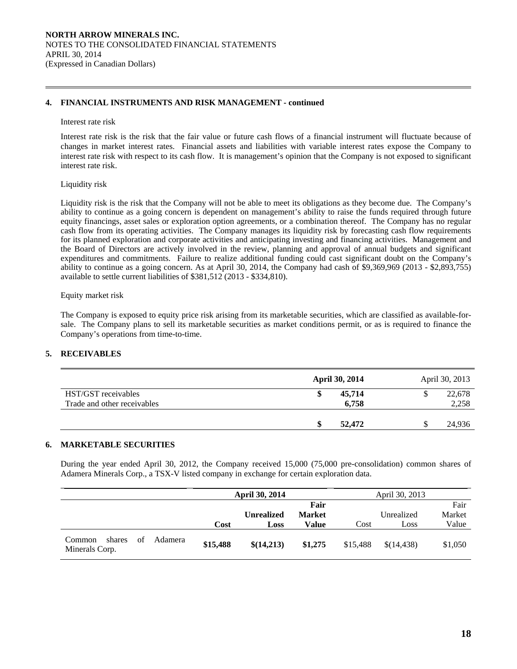# **4. FINANCIAL INSTRUMENTS AND RISK MANAGEMENT - continued**

#### Interest rate risk

 $\overline{a}$ 

Interest rate risk is the risk that the fair value or future cash flows of a financial instrument will fluctuate because of changes in market interest rates. Financial assets and liabilities with variable interest rates expose the Company to interest rate risk with respect to its cash flow. It is management's opinion that the Company is not exposed to significant interest rate risk.

## Liquidity risk

Liquidity risk is the risk that the Company will not be able to meet its obligations as they become due. The Company's ability to continue as a going concern is dependent on management's ability to raise the funds required through future equity financings, asset sales or exploration option agreements, or a combination thereof. The Company has no regular cash flow from its operating activities. The Company manages its liquidity risk by forecasting cash flow requirements for its planned exploration and corporate activities and anticipating investing and financing activities. Management and the Board of Directors are actively involved in the review, planning and approval of annual budgets and significant expenditures and commitments. Failure to realize additional funding could cast significant doubt on the Company's ability to continue as a going concern. As at April 30, 2014, the Company had cash of \$9,369,969 (2013 - \$2,893,755) available to settle current liabilities of \$381,512 (2013 - \$334,810).

#### Equity market risk

The Company is exposed to equity price risk arising from its marketable securities, which are classified as available-forsale. The Company plans to sell its marketable securities as market conditions permit, or as is required to finance the Company's operations from time-to-time.

# **5. RECEIVABLES**

|                             | <b>April 30, 2014</b> | April 30, 2013 |
|-----------------------------|-----------------------|----------------|
| HST/GST receivables         | 45,714                | 22,678         |
| Trade and other receivables | 6,758                 | 2,258          |
|                             | 52,472                | 24,936<br>D    |

# **6. MARKETABLE SECURITIES**

 During the year ended April 30, 2012, the Company received 15,000 (75,000 pre-consolidation) common shares of Adamera Minerals Corp., a TSX-V listed company in exchange for certain exploration data.

|                                          |         |          | <b>April 30, 2014</b> |               |          | April 30, 2013 |         |
|------------------------------------------|---------|----------|-----------------------|---------------|----------|----------------|---------|
|                                          |         |          |                       | Fair          |          |                | Fair    |
|                                          |         |          | <b>Unrealized</b>     | <b>Market</b> |          | Unrealized     | Market  |
|                                          |         | Cost     | Loss                  | Value         | Cost     | Loss           | Value   |
| shares<br>Common<br>Ωf<br>Minerals Corp. | Adamera | \$15,488 | \$(14,213)            | \$1,275       | \$15,488 | \$(14,438)     | \$1,050 |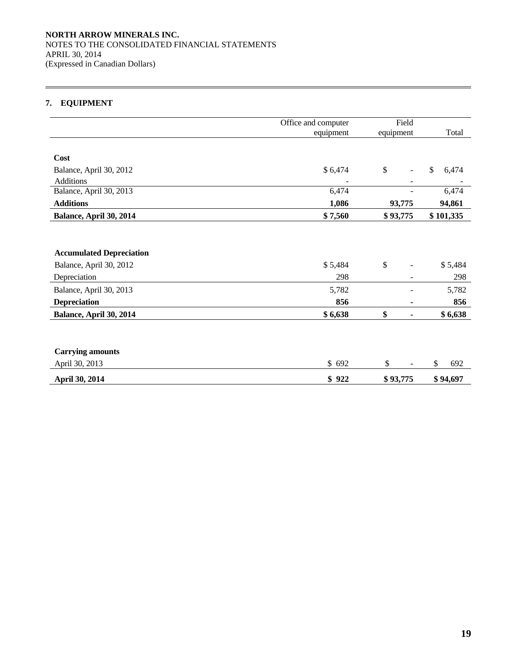# **7. EQUIPMENT**

 $\overline{a}$ 

|                                 | Office and computer | Field                |                       |
|---------------------------------|---------------------|----------------------|-----------------------|
|                                 | equipment           | equipment            | Total                 |
|                                 |                     |                      |                       |
| Cost                            |                     |                      |                       |
| Balance, April 30, 2012         | \$6,474             | $\mathbb{S}$         | $\mathbb{S}$<br>6,474 |
| <b>Additions</b>                |                     |                      |                       |
| Balance, April 30, 2013         | 6,474               |                      | 6,474                 |
| <b>Additions</b>                | 1,086               | 93,775               | 94,861                |
| Balance, April 30, 2014         | \$7,560             | \$93,775             | \$101,335             |
|                                 |                     |                      |                       |
|                                 |                     |                      |                       |
| <b>Accumulated Depreciation</b> |                     |                      |                       |
| Balance, April 30, 2012         | \$5,484             | $\mathbb{S}$         | \$5,484               |
| Depreciation                    | 298                 |                      | 298                   |
| Balance, April 30, 2013         | 5,782               |                      | 5,782                 |
| <b>Depreciation</b>             | 856                 |                      | 856                   |
| Balance, April 30, 2014         | \$6,638             | \$<br>$\blacksquare$ | \$6,638               |
|                                 |                     |                      |                       |
|                                 |                     |                      |                       |
| <b>Carrying amounts</b>         |                     |                      |                       |
| April 30, 2013                  | \$692               | \$                   | $\mathbb{S}$<br>692   |
| April 30, 2014                  | \$922               | \$93,775             | \$94,697              |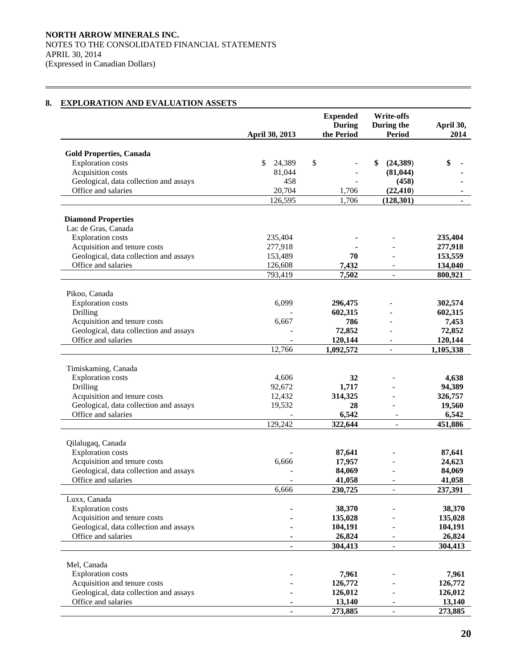# **8. EXPLORATION AND EVALUATION ASSETS**

 $\overline{a}$ 

|                                                  |                | <b>Expended</b><br><b>During</b> | Write-offs<br>During the | April 30,        |
|--------------------------------------------------|----------------|----------------------------------|--------------------------|------------------|
|                                                  | April 30, 2013 | the Period                       | <b>Period</b>            | 2014             |
| <b>Gold Properties, Canada</b>                   |                |                                  |                          |                  |
| <b>Exploration</b> costs                         | \$<br>24,389   | \$                               | (24, 389)<br>\$          | \$               |
| Acquisition costs                                | 81,044         |                                  | (81, 044)                |                  |
| Geological, data collection and assays           | 458            |                                  | (458)                    |                  |
| Office and salaries                              | 20,704         | 1,706                            | (22, 410)                |                  |
|                                                  | 126,595        | 1,706                            | (128, 301)               |                  |
|                                                  |                |                                  |                          |                  |
| <b>Diamond Properties</b><br>Lac de Gras, Canada |                |                                  |                          |                  |
| <b>Exploration</b> costs                         | 235,404        |                                  |                          | 235,404          |
| Acquisition and tenure costs                     | 277,918        |                                  |                          | 277,918          |
| Geological, data collection and assays           | 153,489        | 70                               |                          | 153,559          |
| Office and salaries                              | 126,608        | 7,432                            |                          | 134,040          |
|                                                  | 793,419        | 7,502                            |                          | 800,921          |
|                                                  |                |                                  |                          |                  |
| Pikoo, Canada<br><b>Exploration</b> costs        | 6,099          | 296,475                          |                          | 302,574          |
| Drilling                                         |                | 602,315                          |                          | 602,315          |
| Acquisition and tenure costs                     | 6,667          | 786                              |                          | 7,453            |
| Geological, data collection and assays           |                | 72,852                           |                          | 72,852           |
| Office and salaries                              |                | 120,144                          |                          | 120,144          |
|                                                  | 12,766         | 1,092,572                        | $\overline{\phantom{a}}$ | 1,105,338        |
|                                                  |                |                                  |                          |                  |
| Timiskaming, Canada<br><b>Exploration</b> costs  | 4,606          | 32                               |                          | 4,638            |
| Drilling                                         | 92,672         | 1,717                            |                          | 94,389           |
| Acquisition and tenure costs                     | 12,432         | 314,325                          |                          | 326,757          |
| Geological, data collection and assays           | 19,532         | 28                               |                          | 19,560           |
| Office and salaries                              |                | 6,542                            |                          | 6,542            |
|                                                  | 129,242        | 322,644                          |                          | 451,886          |
|                                                  |                |                                  |                          |                  |
| Qilalugaq, Canada<br><b>Exploration</b> costs    |                | 87,641                           |                          |                  |
| Acquisition and tenure costs                     | 6,666          | 17,957                           |                          | 87,641<br>24,623 |
| Geological, data collection and assays           |                | 84,069                           |                          | 84,069           |
| Office and salaries                              |                | 41,058                           | $\overline{a}$           | 41,058           |
|                                                  | 6,666          | 230,725                          |                          | 237,391          |
| Luxx, Canada                                     |                |                                  |                          |                  |
| <b>Exploration</b> costs                         |                | 38,370                           |                          | 38,370           |
| Acquisition and tenure costs                     |                | 135,028                          |                          | 135,028          |
| Geological, data collection and assays           |                | 104,191                          |                          | 104,191          |
| Office and salaries                              |                | 26,824                           |                          | 26,824           |
|                                                  |                | 304,413                          | $\overline{\phantom{a}}$ | 304,413          |
| Mel, Canada                                      |                |                                  |                          |                  |
| <b>Exploration</b> costs                         |                | 7,961                            |                          | 7,961            |
| Acquisition and tenure costs                     |                | 126,772                          |                          | 126,772          |
| Geological, data collection and assays           |                | 126,012                          |                          | 126,012          |
| Office and salaries                              |                | 13,140                           |                          | 13,140           |
|                                                  |                | 273,885                          | $\overline{\phantom{0}}$ | 273,885          |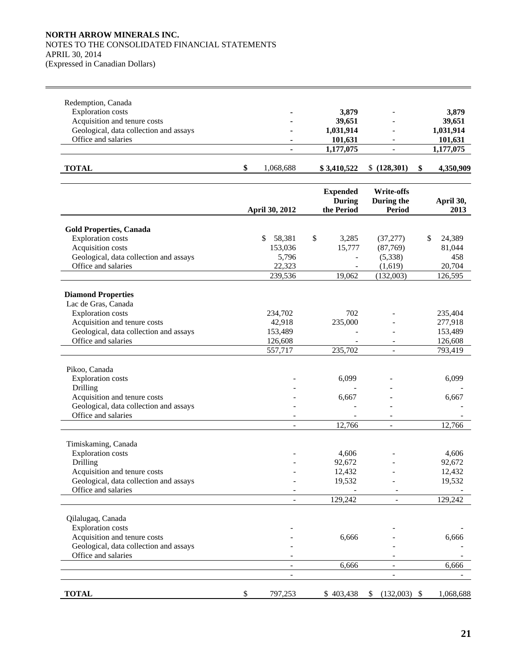# **NORTH ARROW MINERALS INC.**  NOTES TO THE CONSOLIDATED FINANCIAL STATEMENTS APRIL 30, 2014

(Expressed in Canadian Dollars)

 $\overline{a}$ 

| <b>TOTAL</b>                           | \$<br>1.068.688          | \$3,410,522 | \$(128.301)              | 4,350,909 |
|----------------------------------------|--------------------------|-------------|--------------------------|-----------|
|                                        |                          | 1,177,075   |                          | 1,177,075 |
| Office and salaries                    | $\blacksquare$           | 101,631     |                          | 101,631   |
| Geological, data collection and assays | ٠                        | 1,031,914   | $\overline{\phantom{a}}$ | 1,031,914 |
| Acquisition and tenure costs           | $\blacksquare$           | 39,651      |                          | 39,651    |
| <b>Exploration costs</b>               | $\overline{\phantom{0}}$ | 3,879       |                          | 3,879     |
| Redemption, Canada                     |                          |             |                          |           |

|                                                                        | April 30, 2012 |                                                      | <b>Expended</b><br><b>During</b><br>the Period | <b>Write-offs</b><br>During the<br><b>Period</b> | April 30,<br>2013 |
|------------------------------------------------------------------------|----------------|------------------------------------------------------|------------------------------------------------|--------------------------------------------------|-------------------|
|                                                                        |                |                                                      |                                                |                                                  |                   |
| <b>Gold Properties, Canada</b>                                         |                |                                                      |                                                |                                                  |                   |
| <b>Exploration</b> costs                                               | 58,381<br>\$   |                                                      | \$<br>3,285                                    | (37, 277)                                        | \$<br>24,389      |
| Acquisition costs                                                      | 153,036        |                                                      | 15,777                                         | (87,769)                                         | 81,044            |
| Geological, data collection and assays                                 |                | 5,796                                                |                                                | (5,338)                                          | 458               |
| Office and salaries                                                    | 22,323         |                                                      |                                                | (1,619)                                          | 20,704            |
|                                                                        | 239,536        |                                                      | 19,062                                         | (132,003)                                        | 126,595           |
| <b>Diamond Properties</b>                                              |                |                                                      |                                                |                                                  |                   |
| Lac de Gras, Canada                                                    |                |                                                      |                                                |                                                  |                   |
| <b>Exploration costs</b>                                               | 234,702        |                                                      | 702                                            |                                                  | 235,404           |
| Acquisition and tenure costs                                           | 42,918         |                                                      | 235,000                                        |                                                  | 277,918           |
| Geological, data collection and assays                                 | 153,489        |                                                      |                                                |                                                  | 153,489           |
| Office and salaries                                                    | 126,608        |                                                      |                                                |                                                  | 126,608           |
|                                                                        | 557,717        |                                                      | 235,702                                        | $\blacksquare$                                   | 793,419           |
| Pikoo, Canada                                                          |                |                                                      |                                                |                                                  |                   |
| <b>Exploration</b> costs                                               |                |                                                      |                                                |                                                  |                   |
|                                                                        |                |                                                      | 6,099                                          |                                                  | 6,099             |
| Drilling                                                               |                |                                                      |                                                |                                                  |                   |
| Acquisition and tenure costs<br>Geological, data collection and assays |                |                                                      | 6,667                                          |                                                  | 6,667             |
| Office and salaries                                                    |                |                                                      |                                                |                                                  |                   |
|                                                                        |                | $\overline{\phantom{a}}$                             | 12,766                                         | $\overline{\phantom{a}}$                         | 12,766            |
|                                                                        |                |                                                      |                                                |                                                  |                   |
| Timiskaming, Canada                                                    |                |                                                      |                                                |                                                  |                   |
| <b>Exploration</b> costs                                               |                |                                                      | 4,606                                          |                                                  | 4,606             |
| Drilling                                                               |                |                                                      | 92,672                                         |                                                  | 92,672            |
| Acquisition and tenure costs                                           |                |                                                      | 12,432                                         |                                                  | 12,432            |
| Geological, data collection and assays                                 |                |                                                      | 19,532                                         |                                                  | 19,532            |
| Office and salaries                                                    |                | $\overline{\phantom{a}}$<br>$\overline{\phantom{a}}$ | 129,242                                        | $\overline{\phantom{a}}$<br>$\overline{a}$       | 129,242           |
|                                                                        |                |                                                      |                                                |                                                  |                   |
| Qilalugaq, Canada                                                      |                |                                                      |                                                |                                                  |                   |
| <b>Exploration</b> costs                                               |                |                                                      |                                                |                                                  |                   |
| Acquisition and tenure costs                                           |                |                                                      | 6,666                                          |                                                  | 6,666             |
| Geological, data collection and assays                                 |                |                                                      |                                                |                                                  |                   |
| Office and salaries                                                    |                |                                                      |                                                |                                                  |                   |
|                                                                        |                | $\blacksquare$                                       | 6,666                                          | $\overline{\phantom{a}}$                         | 6,666             |
|                                                                        |                | $\overline{a}$                                       |                                                | $\overline{a}$                                   |                   |
| TOTAL                                                                  | \$<br>797,253  |                                                      | \$403,438                                      | \$<br>(132,003)<br>\$                            | 1,068,688         |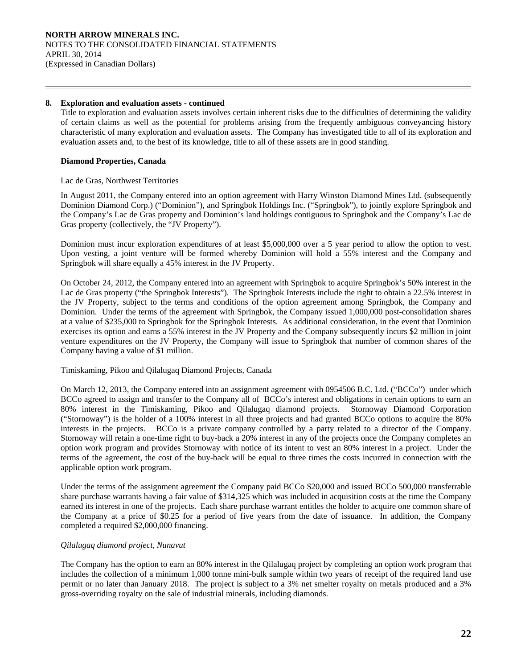Title to exploration and evaluation assets involves certain inherent risks due to the difficulties of determining the validity of certain claims as well as the potential for problems arising from the frequently ambiguous conveyancing history characteristic of many exploration and evaluation assets. The Company has investigated title to all of its exploration and evaluation assets and, to the best of its knowledge, title to all of these assets are in good standing.

## **Diamond Properties, Canada**

 $\overline{a}$ 

### Lac de Gras, Northwest Territories

In August 2011, the Company entered into an option agreement with Harry Winston Diamond Mines Ltd. (subsequently Dominion Diamond Corp.) ("Dominion"), and Springbok Holdings Inc. ("Springbok"), to jointly explore Springbok and the Company's Lac de Gras property and Dominion's land holdings contiguous to Springbok and the Company's Lac de Gras property (collectively, the "JV Property").

Dominion must incur exploration expenditures of at least \$5,000,000 over a 5 year period to allow the option to vest. Upon vesting, a joint venture will be formed whereby Dominion will hold a 55% interest and the Company and Springbok will share equally a 45% interest in the JV Property.

On October 24, 2012, the Company entered into an agreement with Springbok to acquire Springbok's 50% interest in the Lac de Gras property ("the Springbok Interests"). The Springbok Interests include the right to obtain a 22.5% interest in the JV Property, subject to the terms and conditions of the option agreement among Springbok, the Company and Dominion. Under the terms of the agreement with Springbok, the Company issued 1,000,000 post-consolidation shares at a value of \$235,000 to Springbok for the Springbok Interests. As additional consideration, in the event that Dominion exercises its option and earns a 55% interest in the JV Property and the Company subsequently incurs \$2 million in joint venture expenditures on the JV Property, the Company will issue to Springbok that number of common shares of the Company having a value of \$1 million.

# Timiskaming, Pikoo and Qilalugaq Diamond Projects, Canada

On March 12, 2013, the Company entered into an assignment agreement with 0954506 B.C. Ltd. ("BCCo") under which BCCo agreed to assign and transfer to the Company all of BCCo's interest and obligations in certain options to earn an 80% interest in the Timiskaming, Pikoo and Qilalugaq diamond projects. Stornoway Diamond Corporation ("Stornoway") is the holder of a 100% interest in all three projects and had granted BCCo options to acquire the 80% interests in the projects. BCCo is a private company controlled by a party related to a director of the Company. Stornoway will retain a one-time right to buy-back a 20% interest in any of the projects once the Company completes an option work program and provides Stornoway with notice of its intent to vest an 80% interest in a project. Under the terms of the agreement, the cost of the buy-back will be equal to three times the costs incurred in connection with the applicable option work program.

Under the terms of the assignment agreement the Company paid BCCo \$20,000 and issued BCCo 500,000 transferrable share purchase warrants having a fair value of \$314,325 which was included in acquisition costs at the time the Company earned its interest in one of the projects. Each share purchase warrant entitles the holder to acquire one common share of the Company at a price of \$0.25 for a period of five years from the date of issuance. In addition, the Company completed a required \$2,000,000 financing.

# *Qilalugaq diamond project, Nunavut*

The Company has the option to earn an 80% interest in the Qilalugaq project by completing an option work program that includes the collection of a minimum 1,000 tonne mini-bulk sample within two years of receipt of the required land use permit or no later than January 2018. The project is subject to a 3% net smelter royalty on metals produced and a 3% gross-overriding royalty on the sale of industrial minerals, including diamonds.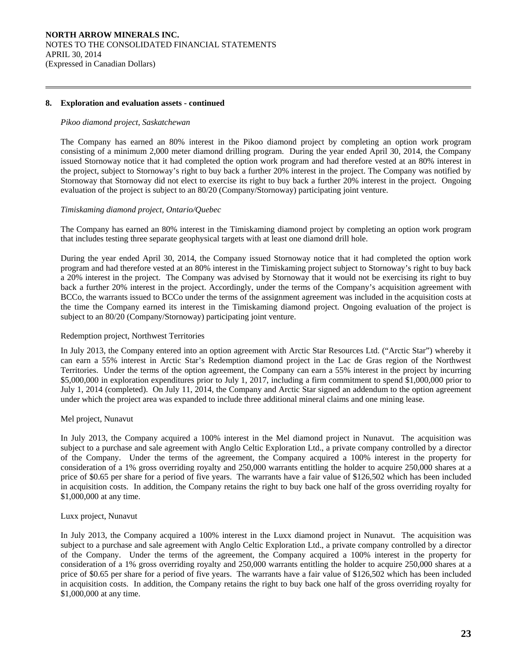### *Pikoo diamond project, Saskatchewan*

 $\overline{a}$ 

The Company has earned an 80% interest in the Pikoo diamond project by completing an option work program consisting of a minimum 2,000 meter diamond drilling program. During the year ended April 30, 2014, the Company issued Stornoway notice that it had completed the option work program and had therefore vested at an 80% interest in the project, subject to Stornoway's right to buy back a further 20% interest in the project. The Company was notified by Stornoway that Stornoway did not elect to exercise its right to buy back a further 20% interest in the project. Ongoing evaluation of the project is subject to an 80/20 (Company/Stornoway) participating joint venture.

# *Timiskaming diamond project, Ontario/Quebec*

The Company has earned an 80% interest in the Timiskaming diamond project by completing an option work program that includes testing three separate geophysical targets with at least one diamond drill hole.

During the year ended April 30, 2014, the Company issued Stornoway notice that it had completed the option work program and had therefore vested at an 80% interest in the Timiskaming project subject to Stornoway's right to buy back a 20% interest in the project. The Company was advised by Stornoway that it would not be exercising its right to buy back a further 20% interest in the project. Accordingly, under the terms of the Company's acquisition agreement with BCCo, the warrants issued to BCCo under the terms of the assignment agreement was included in the acquisition costs at the time the Company earned its interest in the Timiskaming diamond project. Ongoing evaluation of the project is subject to an 80/20 (Company/Stornoway) participating joint venture.

## Redemption project, Northwest Territories

In July 2013, the Company entered into an option agreement with Arctic Star Resources Ltd. ("Arctic Star") whereby it can earn a 55% interest in Arctic Star's Redemption diamond project in the Lac de Gras region of the Northwest Territories. Under the terms of the option agreement, the Company can earn a 55% interest in the project by incurring \$5,000,000 in exploration expenditures prior to July 1, 2017, including a firm commitment to spend \$1,000,000 prior to July 1, 2014 (completed). On July 11, 2014, the Company and Arctic Star signed an addendum to the option agreement under which the project area was expanded to include three additional mineral claims and one mining lease.

### Mel project, Nunavut

In July 2013, the Company acquired a 100% interest in the Mel diamond project in Nunavut. The acquisition was subject to a purchase and sale agreement with Anglo Celtic Exploration Ltd., a private company controlled by a director of the Company. Under the terms of the agreement, the Company acquired a 100% interest in the property for consideration of a 1% gross overriding royalty and 250,000 warrants entitling the holder to acquire 250,000 shares at a price of \$0.65 per share for a period of five years. The warrants have a fair value of \$126,502 which has been included in acquisition costs. In addition, the Company retains the right to buy back one half of the gross overriding royalty for \$1,000,000 at any time.

## Luxx project, Nunavut

In July 2013, the Company acquired a 100% interest in the Luxx diamond project in Nunavut. The acquisition was subject to a purchase and sale agreement with Anglo Celtic Exploration Ltd., a private company controlled by a director of the Company. Under the terms of the agreement, the Company acquired a 100% interest in the property for consideration of a 1% gross overriding royalty and 250,000 warrants entitling the holder to acquire 250,000 shares at a price of \$0.65 per share for a period of five years. The warrants have a fair value of \$126,502 which has been included in acquisition costs. In addition, the Company retains the right to buy back one half of the gross overriding royalty for \$1,000,000 at any time.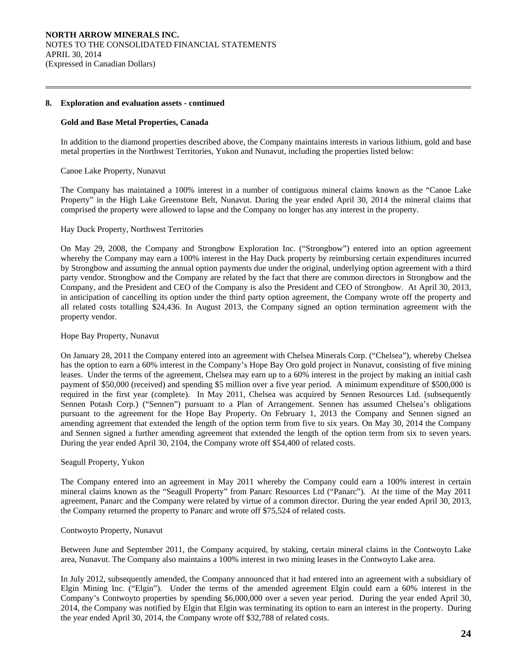#### **Gold and Base Metal Properties, Canada**

 In addition to the diamond properties described above, the Company maintains interests in various lithium, gold and base metal properties in the Northwest Territories, Yukon and Nunavut, including the properties listed below:

Canoe Lake Property, Nunavut

 $\overline{a}$ 

 The Company has maintained a 100% interest in a number of contiguous mineral claims known as the "Canoe Lake Property" in the High Lake Greenstone Belt, Nunavut. During the year ended April 30, 2014 the mineral claims that comprised the property were allowed to lapse and the Company no longer has any interest in the property.

## Hay Duck Property, Northwest Territories

On May 29, 2008, the Company and Strongbow Exploration Inc. ("Strongbow") entered into an option agreement whereby the Company may earn a 100% interest in the Hay Duck property by reimbursing certain expenditures incurred by Strongbow and assuming the annual option payments due under the original, underlying option agreement with a third party vendor. Strongbow and the Company are related by the fact that there are common directors in Strongbow and the Company, and the President and CEO of the Company is also the President and CEO of Strongbow. At April 30, 2013, in anticipation of cancelling its option under the third party option agreement, the Company wrote off the property and all related costs totalling \$24,436. In August 2013, the Company signed an option termination agreement with the property vendor.

#### Hope Bay Property, Nunavut

On January 28, 2011 the Company entered into an agreement with Chelsea Minerals Corp. ("Chelsea"), whereby Chelsea has the option to earn a 60% interest in the Company's Hope Bay Oro gold project in Nunavut, consisting of five mining leases. Under the terms of the agreement, Chelsea may earn up to a 60% interest in the project by making an initial cash payment of \$50,000 (received) and spending \$5 million over a five year period. A minimum expenditure of \$500,000 is required in the first year (complete). In May 2011, Chelsea was acquired by Sennen Resources Ltd. (subsequently Sennen Potash Corp.) ("Sennen") pursuant to a Plan of Arrangement. Sennen has assumed Chelsea's obligations pursuant to the agreement for the Hope Bay Property. On February 1, 2013 the Company and Sennen signed an amending agreement that extended the length of the option term from five to six years. On May 30, 2014 the Company and Sennen signed a further amending agreement that extended the length of the option term from six to seven years. During the year ended April 30, 2104, the Company wrote off \$54,400 of related costs.

### Seagull Property, Yukon

The Company entered into an agreement in May 2011 whereby the Company could earn a 100% interest in certain mineral claims known as the "Seagull Property" from Panarc Resources Ltd ("Panarc"). At the time of the May 2011 agreement, Panarc and the Company were related by virtue of a common director. During the year ended April 30, 2013, the Company returned the property to Panarc and wrote off \$75,524 of related costs.

### Contwoyto Property, Nunavut

Between June and September 2011, the Company acquired, by staking, certain mineral claims in the Contwoyto Lake area, Nunavut. The Company also maintains a 100% interest in two mining leases in the Contwoyto Lake area.

In July 2012, subsequently amended, the Company announced that it had entered into an agreement with a subsidiary of Elgin Mining Inc. ("Elgin"). Under the terms of the amended agreement Elgin could earn a 60% interest in the Company's Contwoyto properties by spending \$6,000,000 over a seven year period. During the year ended April 30, 2014, the Company was notified by Elgin that Elgin was terminating its option to earn an interest in the property. During the year ended April 30, 2014, the Company wrote off \$32,788 of related costs.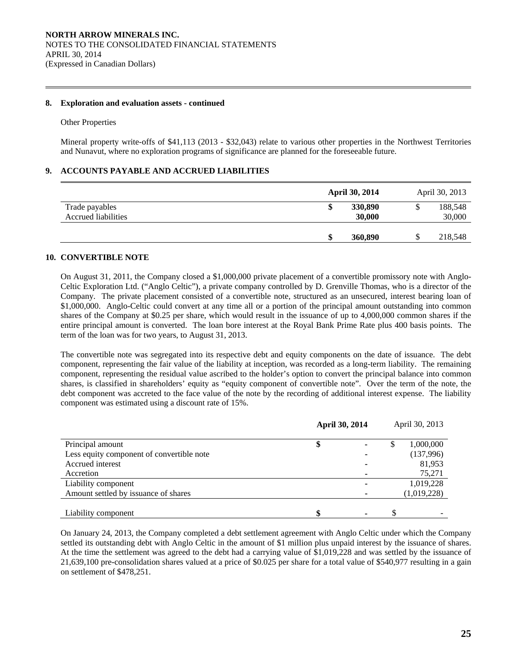#### Other Properties

 $\overline{a}$ 

Mineral property write-offs of \$41,113 (2013 - \$32,043) relate to various other properties in the Northwest Territories and Nunavut, where no exploration programs of significance are planned for the foreseeable future.

## **9. ACCOUNTS PAYABLE AND ACCRUED LIABILITIES**

|                                       | <b>April 30, 2014</b> | April 30, 2013    |
|---------------------------------------|-----------------------|-------------------|
| Trade payables<br>Accrued liabilities | 330,890<br>30,000     | 188,548<br>30,000 |
|                                       | 360,890               | 218,548           |

## **10. CONVERTIBLE NOTE**

 On August 31, 2011, the Company closed a \$1,000,000 private placement of a convertible promissory note with Anglo-Celtic Exploration Ltd. ("Anglo Celtic"), a private company controlled by D. Grenville Thomas, who is a director of the Company. The private placement consisted of a convertible note, structured as an unsecured, interest bearing loan of \$1,000,000. Anglo-Celtic could convert at any time all or a portion of the principal amount outstanding into common shares of the Company at \$0.25 per share, which would result in the issuance of up to 4,000,000 common shares if the entire principal amount is converted. The loan bore interest at the Royal Bank Prime Rate plus 400 basis points. The term of the loan was for two years, to August 31, 2013.

The convertible note was segregated into its respective debt and equity components on the date of issuance. The debt component, representing the fair value of the liability at inception, was recorded as a long-term liability. The remaining component, representing the residual value ascribed to the holder's option to convert the principal balance into common shares, is classified in shareholders' equity as "equity component of convertible note". Over the term of the note, the debt component was accreted to the face value of the note by the recording of additional interest expense. The liability component was estimated using a discount rate of 15%.

|                                           | April 30, 2014 |                |   | April 30, 2013 |
|-------------------------------------------|----------------|----------------|---|----------------|
| Principal amount                          |                | $\blacksquare$ | S | 1,000,000      |
| Less equity component of convertible note |                |                |   | (137,996)      |
| Accrued interest                          |                |                |   | 81,953         |
| Accretion                                 |                |                |   | 75,271         |
| Liability component                       |                |                |   | 1,019,228      |
| Amount settled by issuance of shares      |                |                |   | (1,019,228)    |
|                                           |                |                |   |                |
| Liability component                       |                | $\blacksquare$ |   |                |

On January 24, 2013, the Company completed a debt settlement agreement with Anglo Celtic under which the Company settled its outstanding debt with Anglo Celtic in the amount of \$1 million plus unpaid interest by the issuance of shares. At the time the settlement was agreed to the debt had a carrying value of \$1,019,228 and was settled by the issuance of 21,639,100 pre-consolidation shares valued at a price of \$0.025 per share for a total value of \$540,977 resulting in a gain on settlement of \$478,251.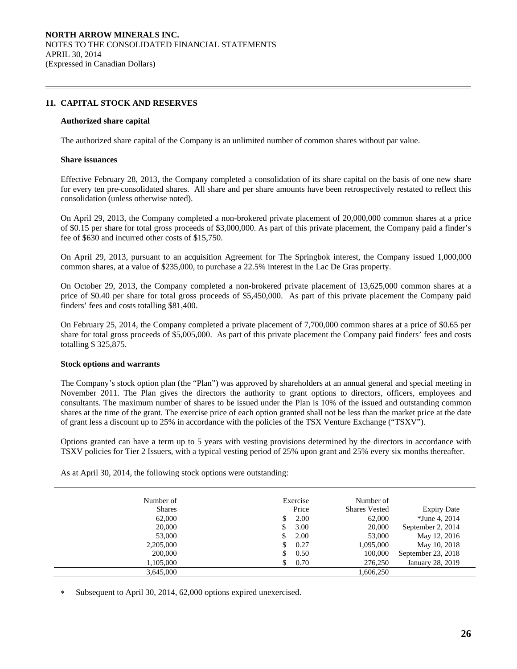# **11. CAPITAL STOCK AND RESERVES**

#### **Authorized share capital**

The authorized share capital of the Company is an unlimited number of common shares without par value.

#### **Share issuances**

 $\overline{a}$ 

Effective February 28, 2013, the Company completed a consolidation of its share capital on the basis of one new share for every ten pre-consolidated shares. All share and per share amounts have been retrospectively restated to reflect this consolidation (unless otherwise noted).

On April 29, 2013, the Company completed a non-brokered private placement of 20,000,000 common shares at a price of \$0.15 per share for total gross proceeds of \$3,000,000. As part of this private placement, the Company paid a finder's fee of \$630 and incurred other costs of \$15,750.

On April 29, 2013, pursuant to an acquisition Agreement for The Springbok interest, the Company issued 1,000,000 common shares, at a value of \$235,000, to purchase a 22.5% interest in the Lac De Gras property.

On October 29, 2013, the Company completed a non-brokered private placement of 13,625,000 common shares at a price of \$0.40 per share for total gross proceeds of \$5,450,000. As part of this private placement the Company paid finders' fees and costs totalling \$81,400.

On February 25, 2014, the Company completed a private placement of 7,700,000 common shares at a price of \$0.65 per share for total gross proceeds of \$5,005,000. As part of this private placement the Company paid finders' fees and costs totalling \$ 325,875.

### **Stock options and warrants**

 The Company's stock option plan (the "Plan") was approved by shareholders at an annual general and special meeting in November 2011. The Plan gives the directors the authority to grant options to directors, officers, employees and consultants. The maximum number of shares to be issued under the Plan is 10% of the issued and outstanding common shares at the time of the grant. The exercise price of each option granted shall not be less than the market price at the date of grant less a discount up to 25% in accordance with the policies of the TSX Venture Exchange ("TSXV").

Options granted can have a term up to 5 years with vesting provisions determined by the directors in accordance with TSXV policies for Tier 2 Issuers, with a typical vesting period of 25% upon grant and 25% every six months thereafter.

| Number of     | Exercise   | Number of            |                    |
|---------------|------------|----------------------|--------------------|
| <b>Shares</b> | Price      | <b>Shares Vested</b> | <b>Expiry Date</b> |
| 62,000        | 2.00       | 62,000               | $*$ June 4, 2014   |
| 20,000        | 3.00       | 20,000               | September 2, 2014  |
| 53,000        | 2.00<br>S. | 53,000               | May 12, 2016       |
| 2,205,000     | 0.27<br>S  | 1,095,000            | May 10, 2018       |
| 200,000       | 0.50<br>S. | 100,000              | September 23, 2018 |
| 1,105,000     | 0.70<br>\$ | 276,250              | January 28, 2019   |
| 3,645,000     |            | 1,606,250            |                    |
|               |            |                      |                    |

As at April 30, 2014, the following stock options were outstanding:

Subsequent to April 30, 2014, 62,000 options expired unexercised.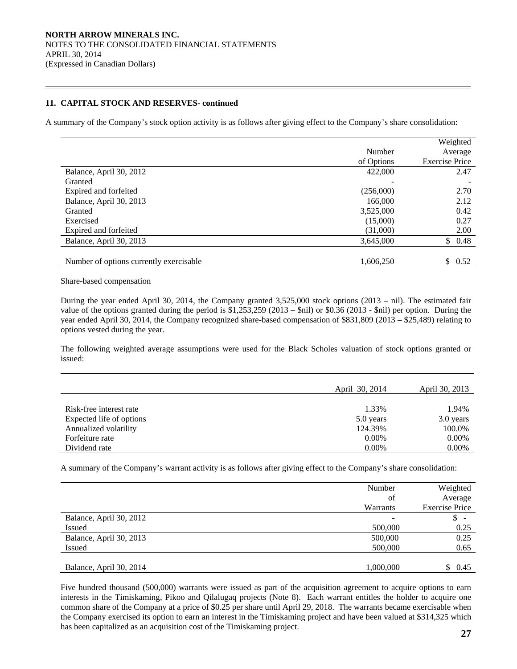# **11. CAPITAL STOCK AND RESERVES- continued**

 $\overline{a}$ 

A summary of the Company's stock option activity is as follows after giving effect to the Company's share consolidation:

|                                          |            | Weighted              |
|------------------------------------------|------------|-----------------------|
|                                          | Number     | Average               |
|                                          | of Options | <b>Exercise Price</b> |
| Balance, April 30, 2012                  | 422,000    | 2.47                  |
| Granted                                  |            |                       |
| Expired and forfeited                    | (256,000)  | 2.70                  |
| Balance, April 30, 2013                  | 166,000    | 2.12                  |
| Granted                                  | 3,525,000  | 0.42                  |
| Exercised                                | (15,000)   | 0.27                  |
| Expired and forfeited                    | (31,000)   | 2.00                  |
| Balance, April 30, 2013                  | 3,645,000  | \$0.48                |
|                                          |            |                       |
| Number of options currently exercisable. | 1,606,250  | \$0.52                |

Share-based compensation

 During the year ended April 30, 2014, the Company granted 3,525,000 stock options (2013 – nil). The estimated fair value of the options granted during the period is \$1,253,259 (2013 – \$nil) or \$0.36 (2013 - \$nil) per option. During the year ended April 30, 2014, the Company recognized share-based compensation of \$831,809 (2013 – \$25,489) relating to options vested during the year.

The following weighted average assumptions were used for the Black Scholes valuation of stock options granted or issued:

|                          | April 30, 2014 | April 30, 2013 |
|--------------------------|----------------|----------------|
|                          |                |                |
| Risk-free interest rate  | 1.33%          | 1.94%          |
| Expected life of options | 5.0 years      | 3.0 years      |
| Annualized volatility    | 124.39%        | 100.0%         |
| Forfeiture rate          | $0.00\%$       | 0.00%          |
| Dividend rate            | $0.00\%$       | 0.00%          |

A summary of the Company's warrant activity is as follows after giving effect to the Company's share consolidation:

|                         | Number<br>of | Weighted<br>Average   |
|-------------------------|--------------|-----------------------|
|                         | Warrants     | <b>Exercise Price</b> |
| Balance, April 30, 2012 |              | J                     |
| Issued                  | 500,000      | 0.25                  |
| Balance, April 30, 2013 | 500,000      | 0.25                  |
| Issued                  | 500,000      | 0.65                  |
|                         |              |                       |
| Balance, April 30, 2014 | 1,000,000    | S.<br>0.45            |

Five hundred thousand (500,000) warrants were issued as part of the acquisition agreement to acquire options to earn interests in the Timiskaming, Pikoo and Qilalugaq projects (Note 8). Each warrant entitles the holder to acquire one common share of the Company at a price of \$0.25 per share until April 29, 2018. The warrants became exercisable when the Company exercised its option to earn an interest in the Timiskaming project and have been valued at \$314,325 which has been capitalized as an acquisition cost of the Timiskaming project.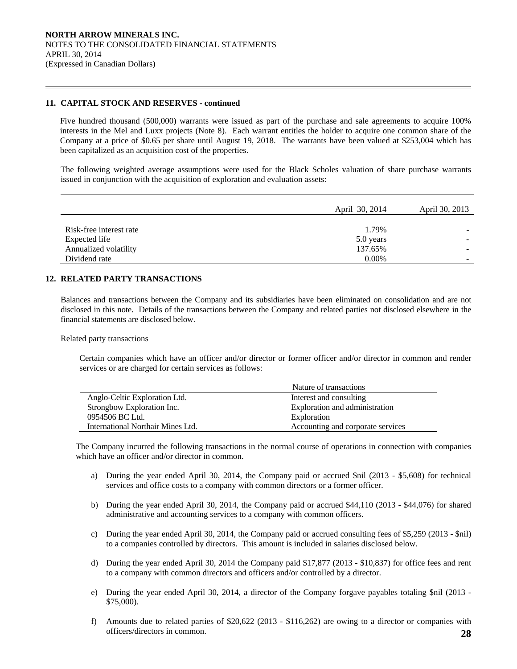## **11. CAPITAL STOCK AND RESERVES - continued**

 $\overline{a}$ 

Five hundred thousand (500,000) warrants were issued as part of the purchase and sale agreements to acquire 100% interests in the Mel and Luxx projects (Note 8). Each warrant entitles the holder to acquire one common share of the Company at a price of \$0.65 per share until August 19, 2018. The warrants have been valued at \$253,004 which has been capitalized as an acquisition cost of the properties.

The following weighted average assumptions were used for the Black Scholes valuation of share purchase warrants issued in conjunction with the acquisition of exploration and evaluation assets:

|                         | April 30, 2014 | April 30, 2013 |
|-------------------------|----------------|----------------|
| Risk-free interest rate | 1.79%          |                |
| Expected life           | 5.0 years      |                |
| Annualized volatility   | 137.65%        |                |
| Dividend rate           | $0.00\%$       |                |

# **12. RELATED PARTY TRANSACTIONS**

 Balances and transactions between the Company and its subsidiaries have been eliminated on consolidation and are not disclosed in this note. Details of the transactions between the Company and related parties not disclosed elsewhere in the financial statements are disclosed below.

Related party transactions

Certain companies which have an officer and/or director or former officer and/or director in common and render services or are charged for certain services as follows:

|                                   | Nature of transactions            |
|-----------------------------------|-----------------------------------|
| Anglo-Celtic Exploration Ltd.     | Interest and consulting           |
| Strongbow Exploration Inc.        | Exploration and administration    |
| 0954506 BC Ltd.                   | Exploration                       |
| International Northair Mines Ltd. | Accounting and corporate services |

The Company incurred the following transactions in the normal course of operations in connection with companies which have an officer and/or director in common.

- a) During the year ended April 30, 2014, the Company paid or accrued \$nil (2013 \$5,608) for technical services and office costs to a company with common directors or a former officer.
- b) During the year ended April 30, 2014, the Company paid or accrued \$44,110 (2013 \$44,076) for shared administrative and accounting services to a company with common officers.
- c) During the year ended April 30, 2014, the Company paid or accrued consulting fees of \$5,259 (2013 \$nil) to a companies controlled by directors. This amount is included in salaries disclosed below.
- d) During the year ended April 30, 2014 the Company paid \$17,877 (2013 \$10,837) for office fees and rent to a company with common directors and officers and/or controlled by a director.
- e) During the year ended April 30, 2014, a director of the Company forgave payables totaling \$nil (2013 \$75,000).
- **28**  f) Amounts due to related parties of \$20,622 (2013 - \$116,262) are owing to a director or companies with officers/directors in common.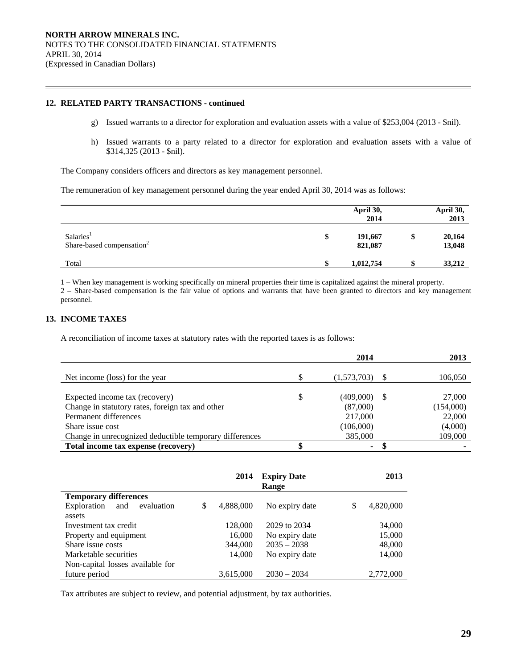## **12. RELATED PARTY TRANSACTIONS - continued**

- g) Issued warrants to a director for exploration and evaluation assets with a value of \$253,004 (2013 \$nil).
- h) Issued warrants to a party related to a director for exploration and evaluation assets with a value of \$314,325 (2013 - \$nil).

The Company considers officers and directors as key management personnel.

The remuneration of key management personnel during the year ended April 30, 2014 was as follows:

|                                                                |    | April 30,<br>2014  |   | April 30,<br>2013 |
|----------------------------------------------------------------|----|--------------------|---|-------------------|
| Salaries <sup>1</sup><br>Share-based compensation <sup>2</sup> | \$ | 191,667<br>821,087 | ъ | 20,164<br>13,048  |
| Total                                                          | ¢  | 1,012,754          |   | 33,212            |

1 – When key management is working specifically on mineral properties their time is capitalized against the mineral property.

2 – Share-based compensation is the fair value of options and warrants that have been granted to directors and key management personnel.

# **13. INCOME TAXES**

 $\overline{a}$ 

A reconciliation of income taxes at statutory rates with the reported taxes is as follows:

|                                                         | 2014        |    | 2013      |
|---------------------------------------------------------|-------------|----|-----------|
| Net income (loss) for the year                          | (1,573,703) |    | 106,050   |
|                                                         |             |    |           |
| Expected income tax (recovery)                          | (409,000)   | -S | 27,000    |
| Change in statutory rates, foreign tax and other        | (87,000)    |    | (154,000) |
| Permanent differences                                   | 217,000     |    | 22,000    |
| Share issue cost                                        | (106,000)   |    | (4,000)   |
| Change in unrecognized deductible temporary differences | 385,000     |    | 109,000   |
| Total income tax expense (recovery)                     | ۰           |    |           |

|                                  | 2014            | <b>Expiry Date</b> |   | 2013      |
|----------------------------------|-----------------|--------------------|---|-----------|
|                                  |                 | Range              |   |           |
| <b>Temporary differences</b>     |                 |                    |   |           |
| Exploration<br>evaluation<br>and | \$<br>4,888,000 | No expiry date     | S | 4,820,000 |
| assets                           |                 |                    |   |           |
| Investment tax credit            | 128,000         | 2029 to 2034       |   | 34,000    |
| Property and equipment           | 16,000          | No expiry date     |   | 15,000    |
| Share issue costs                | 344,000         | $2035 - 2038$      |   | 48,000    |
| Marketable securities            | 14,000          | No expiry date     |   | 14,000    |
| Non-capital losses available for |                 |                    |   |           |
| future period                    | 3,615,000       | $2030 - 2034$      |   | 2,772,000 |

Tax attributes are subject to review, and potential adjustment, by tax authorities.